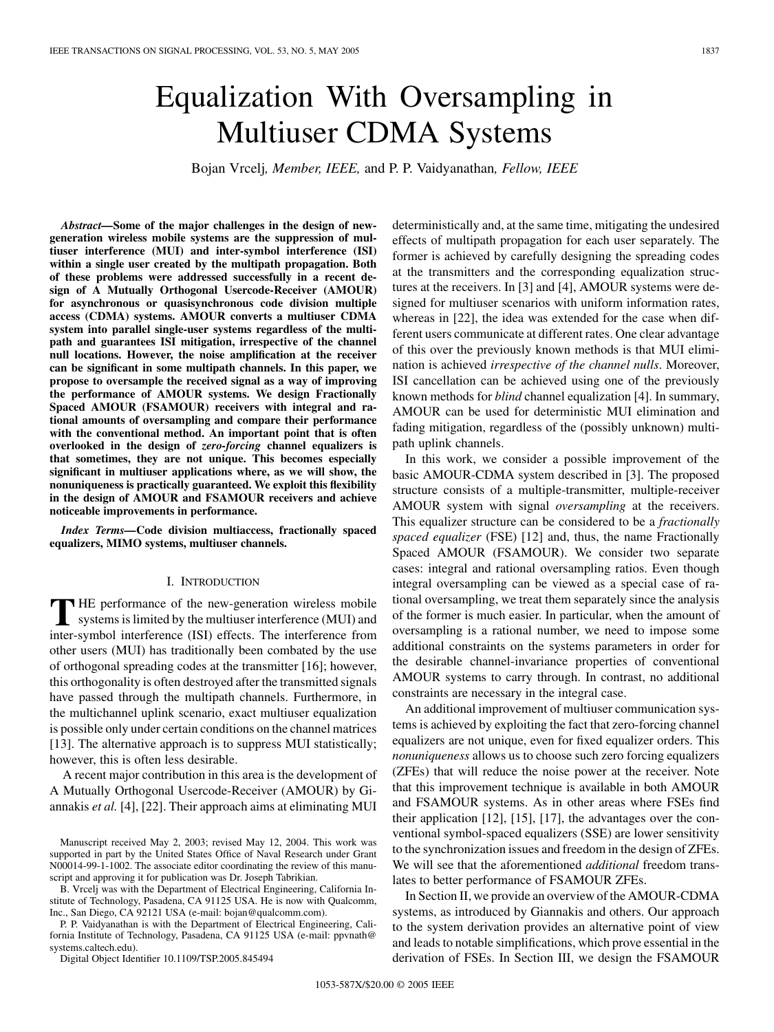# Equalization With Oversampling in Multiuser CDMA Systems

Bojan Vrcelj*, Member, IEEE,* and P. P. Vaidyanathan*, Fellow, IEEE*

*Abstract—***Some of the major challenges in the design of newgeneration wireless mobile systems are the suppression of multiuser interference (MUI) and inter-symbol interference (ISI) within a single user created by the multipath propagation. Both of these problems were addressed successfully in a recent design of A Mutually Orthogonal Usercode-Receiver (AMOUR) for asynchronous or quasisynchronous code division multiple access (CDMA) systems. AMOUR converts a multiuser CDMA system into parallel single-user systems regardless of the multipath and guarantees ISI mitigation, irrespective of the channel null locations. However, the noise amplification at the receiver can be significant in some multipath channels. In this paper, we propose to oversample the received signal as a way of improving the performance of AMOUR systems. We design Fractionally Spaced AMOUR (FSAMOUR) receivers with integral and rational amounts of oversampling and compare their performance with the conventional method. An important point that is often overlooked in the design of** *zero-forcing* **channel equalizers is that sometimes, they are not unique. This becomes especially significant in multiuser applications where, as we will show, the nonuniqueness is practically guaranteed. We exploit this flexibility in the design of AMOUR and FSAMOUR receivers and achieve noticeable improvements in performance.**

*Index Terms—***Code division multiaccess, fractionally spaced equalizers, MIMO systems, multiuser channels.**

## I. INTRODUCTION

**T** HE performance of the new-generation wireless mobile systems is limited by the multiuser interference (MUI) and inter-symbol interference (ISI) effects. The interference from other users (MUI) has traditionally been combated by the use of orthogonal spreading codes at the transmitter [[16\]](#page-14-0); however, this orthogonality is often destroyed after the transmitted signals have passed through the multipath channels. Furthermore, in the multichannel uplink scenario, exact multiuser equalization is possible only under certain conditions on the channel matrices [\[13](#page-14-0)]. The alternative approach is to suppress MUI statistically; however, this is often less desirable.

A recent major contribution in this area is the development of A Mutually Orthogonal Usercode-Receiver (AMOUR) by Giannakis *et al.* [[4\]](#page-14-0), [[22\]](#page-14-0). Their approach aims at eliminating MUI

Manuscript received May 2, 2003; revised May 12, 2004. This work was supported in part by the United States Office of Naval Research under Grant N00014-99-1-1002. The associate editor coordinating the review of this manuscript and approving it for publication was Dr. Joseph Tabrikian.

B. Vrcelj was with the Department of Electrical Engineering, California Institute of Technology, Pasadena, CA 91125 USA. He is now with Qualcomm, Inc., San Diego, CA 92121 USA (e-mail: bojan@qualcomm.com).

P. P. Vaidyanathan is with the Department of Electrical Engineering, California Institute of Technology, Pasadena, CA 91125 USA (e-mail: ppvnath@ systems.caltech.edu).

Digital Object Identifier 10.1109/TSP.2005.845494

deterministically and, at the same time, mitigating the undesired effects of multipath propagation for each user separately. The former is achieved by carefully designing the spreading codes at the transmitters and the corresponding equalization structures at the receivers. In [[3\]](#page-14-0) and [[4\]](#page-14-0), AMOUR systems were designed for multiuser scenarios with uniform information rates, whereas in [\[22](#page-14-0)], the idea was extended for the case when different users communicate at different rates. One clear advantage of this over the previously known methods is that MUI elimination is achieved *irrespective of the channel nulls*. Moreover, ISI cancellation can be achieved using one of the previously known methods for *blind* channel equalization [[4\]](#page-14-0). In summary, AMOUR can be used for deterministic MUI elimination and fading mitigation, regardless of the (possibly unknown) multipath uplink channels.

In this work, we consider a possible improvement of the basic AMOUR-CDMA system described in [\[3](#page-14-0)]. The proposed structure consists of a multiple-transmitter, multiple-receiver AMOUR system with signal *oversampling* at the receivers. This equalizer structure can be considered to be a *fractionally spaced equalizer* (FSE) [[12](#page-14-0)] and, thus, the name Fractionally Spaced AMOUR (FSAMOUR). We consider two separate cases: integral and rational oversampling ratios. Even though integral oversampling can be viewed as a special case of rational oversampling, we treat them separately since the analysis of the former is much easier. In particular, when the amount of oversampling is a rational number, we need to impose some additional constraints on the systems parameters in order for the desirable channel-invariance properties of conventional AMOUR systems to carry through. In contrast, no additional constraints are necessary in the integral case.

An additional improvement of multiuser communication systems is achieved by exploiting the fact that zero-forcing channel equalizers are not unique, even for fixed equalizer orders. This *nonuniqueness* allows us to choose such zero forcing equalizers (ZFEs) that will reduce the noise power at the receiver. Note that this improvement technique is available in both AMOUR and FSAMOUR systems. As in other areas where FSEs find their application [\[12](#page-14-0)], [\[15](#page-14-0)], [\[17](#page-14-0)], the advantages over the conventional symbol-spaced equalizers (SSE) are lower sensitivity to the synchronization issues and freedom in the design of ZFEs. We will see that the aforementioned *additional* freedom translates to better performance of FSAMOUR ZFEs.

In Section II, we provide an overview of the AMOUR-CDMA systems, as introduced by Giannakis and others. Our approach to the system derivation provides an alternative point of view and leads to notable simplifications, which prove essential in the derivation of FSEs. In Section III, we design the FSAMOUR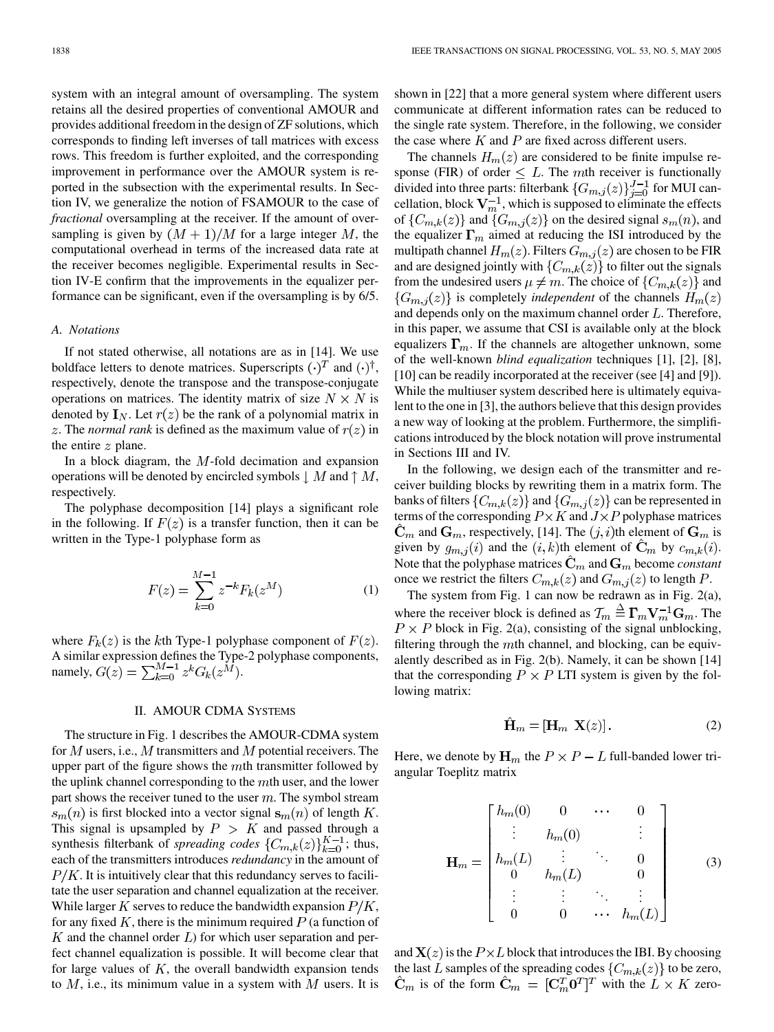system with an integral amount of oversampling. The system retains all the desired properties of conventional AMOUR and provides additional freedom in the design of ZF solutions, which corresponds to finding left inverses of tall matrices with excess rows. This freedom is further exploited, and the corresponding improvement in performance over the AMOUR system is reported in the subsection with the experimental results. In Section IV, we generalize the notion of FSAMOUR to the case of *fractional* oversampling at the receiver. If the amount of oversampling is given by  $(M + 1)/M$  for a large integer M, the computational overhead in terms of the increased data rate at the receiver becomes negligible. Experimental results in Section IV-E confirm that the improvements in the equalizer performance can be significant, even if the oversampling is by 6/5.

## *A. Notations*

If not stated otherwise, all notations are as in [[14\]](#page-14-0). We use boldface letters to denote matrices. Superscripts  $(\cdot)^T$  and  $(\cdot)^{\dagger}$ , respectively, denote the transpose and the transpose-conjugate operations on matrices. The identity matrix of size  $N \times N$  is denoted by  $\mathbf{I}_N$ . Let  $r(z)$  be the rank of a polynomial matrix in z. The *normal rank* is defined as the maximum value of  $r(z)$  in the entire  $z$  plane.

In a block diagram, the  $M$ -fold decimation and expansion operations will be denoted by encircled symbols  $\downarrow M$  and  $\uparrow M$ , respectively.

The polyphase decomposition [\[14](#page-14-0)] plays a significant role in the following. If  $F(z)$  is a transfer function, then it can be written in the Type-1 polyphase form as

$$
F(z) = \sum_{k=0}^{M-1} z^{-k} F_k(z^M)
$$
 (1)

where  $F_k(z)$  is the kth Type-1 polyphase component of  $F(z)$ . A similar expression defines the Type-2 polyphase components, namely,  $G(z) = \sum_{k=0}^{M-1} z^k G_k(z^M)$ .

## II. AMOUR CDMA SYSTEMS

The structure in Fig. 1 describes the AMOUR-CDMA system for  $M$  users, i.e.,  $M$  transmitters and  $M$  potential receivers. The upper part of the figure shows the  $m$ th transmitter followed by the uplink channel corresponding to the  $m$ th user, and the lower part shows the receiver tuned to the user  $m$ . The symbol stream  $s_m(n)$  is first blocked into a vector signal  $s_m(n)$  of length K. This signal is upsampled by  $P > K$  and passed through a synthesis filterbank of *spreading codes*  $\{C_{m,k}(z)\}_{k=0}^{K-1}$ ; thus, each of the transmitters introduces *redundancy* in the amount of  $P/K$ . It is intuitively clear that this redundancy serves to facilitate the user separation and channel equalization at the receiver. While larger K serves to reduce the bandwidth expansion  $P/K$ , for any fixed  $K$ , there is the minimum required  $P$  (a function of  $K$  and the channel order  $L$ ) for which user separation and perfect channel equalization is possible. It will become clear that for large values of  $K$ , the overall bandwidth expansion tends to  $M$ , i.e., its minimum value in a system with  $M$  users. It is shown in [\[22](#page-14-0)] that a more general system where different users communicate at different information rates can be reduced to the single rate system. Therefore, in the following, we consider the case where  $K$  and  $P$  are fixed across different users.

The channels  $H_m(z)$  are considered to be finite impulse response (FIR) of order  $\leq L$ . The mth receiver is functionally divided into three parts: filterbank  $\{G_{m,j}(z)\}_{j=0}^{J-1}$  for MUI cancellation, block  $V_m^{-1}$ , which is supposed to eliminate the effects of  $\{C_{m,k}(z)\}\$  and  $\{G_{m,j}(z)\}\$  on the desired signal  $s_m(n)$ , and the equalizer  $\Gamma_m$  aimed at reducing the ISI introduced by the multipath channel  $H_m(z)$ . Filters  $G_{m,j}(z)$  are chosen to be FIR and are designed jointly with  $\{C_{m,k}(z)\}\)$  to filter out the signals from the undesired users  $\mu \neq m$ . The choice of  $\{C_{m,k}(z)\}\$  and  ${G_{m,j}(z)}$  is completely *independent* of the channels  $H_m(z)$ and depends only on the maximum channel order  $L$ . Therefore, in this paper, we assume that CSI is available only at the block equalizers  $\Gamma_m$ . If the channels are altogether unknown, some of the well-known *blind equalization* techniques [[1\]](#page-14-0), [\[2](#page-14-0)], [[8\]](#page-14-0), [[10\]](#page-14-0) can be readily incorporated at the receiver (see [\[4](#page-14-0)] and [[9\]](#page-14-0)). While the multiuser system described here is ultimately equivalent to the one in [[3\]](#page-14-0), the authors believe that this design provides a new way of looking at the problem. Furthermore, the simplifications introduced by the block notation will prove instrumental in Sections III and IV.

In the following, we design each of the transmitter and receiver building blocks by rewriting them in a matrix form. The banks of filters  $\{C_{m,k}(z)\}$  and  $\{G_{m,j}(z)\}$  can be represented in terms of the corresponding  $P \times K$  and  $J \times P$  polyphase matrices  $\mathbf{C}_m$  and  $\mathbf{G}_m$ , respectively, [[14\]](#page-14-0). The  $(j, i)$ th element of  $\mathbf{G}_m$  is given by  $g_{m,j}(i)$  and the  $(i,k)$ th element of  $\mathbf{C}_m$  by  $c_{m,k}(i)$ . Note that the polyphase matrices  $\mathbf{C}_m$  and  $\mathbf{G}_m$  become *constant* once we restrict the filters  $C_{m,k}(z)$  and  $G_{m,j}(z)$  to length P.

The system from Fig. 1 can now be redrawn as in Fig. 2(a), where the receiver block is defined as  $\mathcal{T}_m \triangleq \Gamma_m \mathbf{V}_m^{-1} \mathbf{G}_m$ . The  $P \times P$  block in Fig. 2(a), consisting of the signal unblocking, filtering through the  $m$ th channel, and blocking, can be equivalently described as in Fig. 2(b). Namely, it can be shown [\[14](#page-14-0)] that the corresponding  $P \times P$  LTI system is given by the following matrix:

$$
\hat{\mathbf{H}}_m = \begin{bmatrix} \mathbf{H}_m & \mathbf{X}(z) \end{bmatrix} . \tag{2}
$$

Here, we denote by  $H_m$  the  $P \times P - L$  full-banded lower triangular Toeplitz matrix

$$
\mathbf{H}_{m} = \begin{bmatrix} h_{m}(0) & 0 & \cdots & 0 \\ \vdots & h_{m}(0) & & \vdots \\ h_{m}(L) & \vdots & \ddots & 0 \\ 0 & h_{m}(L) & & 0 \\ \vdots & \vdots & \ddots & \vdots \\ 0 & 0 & \cdots & h_{m}(L) \end{bmatrix}
$$
(3)

and  $\mathbf{X}(z)$  is the  $P \times L$  block that introduces the IBI. By choosing the last L samples of the spreading codes  $\{C_{m,k}(z)\}$  to be zero,  $\hat{\mathbf{C}}_m$  is of the form  $\hat{\mathbf{C}}_m = [\mathbf{C}_m^T \mathbf{0}^T]^T$  with the  $L \times K$  zero-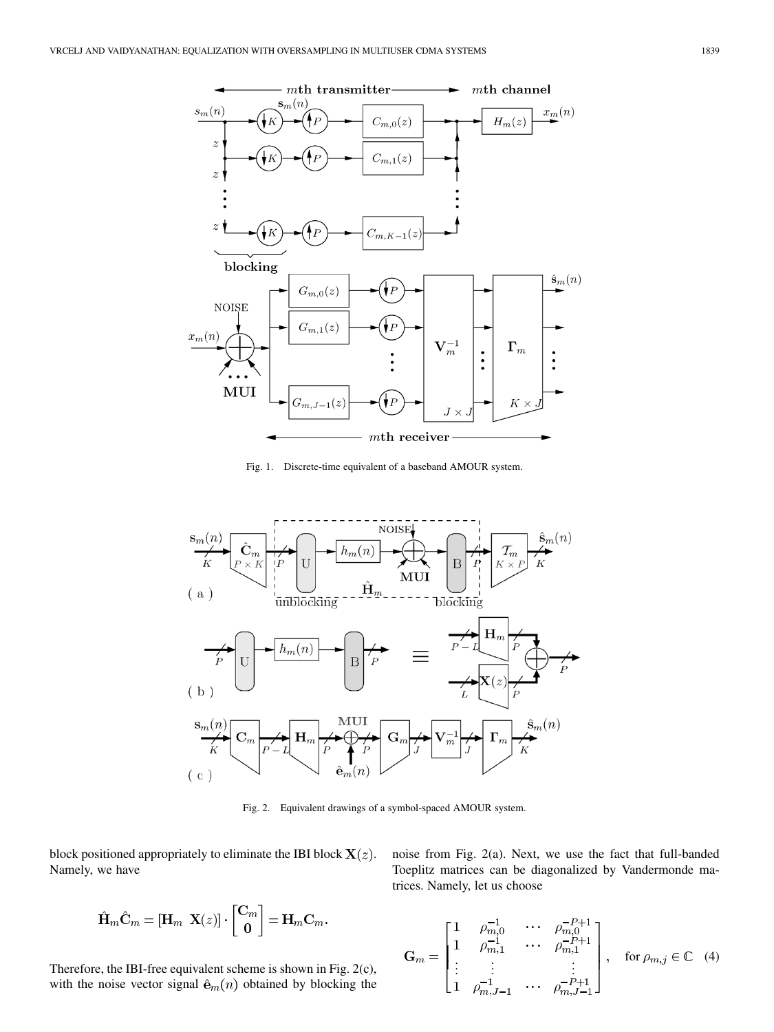

Fig. 1. Discrete-time equivalent of a baseband AMOUR system.



Fig. 2. Equivalent drawings of a symbol-spaced AMOUR system.

block positioned appropriately to eliminate the IBI block  $X(z)$ . Namely, we have

$$
\hat{\mathbf{H}}_m \hat{\mathbf{C}}_m = \begin{bmatrix} \mathbf{H}_m & \mathbf{X}(z) \end{bmatrix} \cdot \begin{bmatrix} \mathbf{C}_m \\ \mathbf{0} \end{bmatrix} = \mathbf{H}_m \mathbf{C}_m.
$$

Therefore, the IBI-free equivalent scheme is shown in Fig. 2(c), with the noise vector signal  $\hat{\mathbf{e}}_m(n)$  obtained by blocking the noise from Fig. 2(a). Next, we use the fact that full-banded Toeplitz matrices can be diagonalized by Vandermonde matrices. Namely, let us choose

$$
\mathbf{G}_{m} = \begin{bmatrix} 1 & \rho_{m,0}^{-1} & \cdots & \rho_{m,0}^{-P+1} \\ 1 & \rho_{m,1}^{-1} & \cdots & \rho_{m,1}^{-P+1} \\ \vdots & \vdots & & \vdots \\ 1 & \rho_{m,J-1}^{-1} & \cdots & \rho_{m,J-1}^{-P+1} \end{bmatrix}, \text{ for } \rho_{m,j} \in \mathbb{C} \quad (4)
$$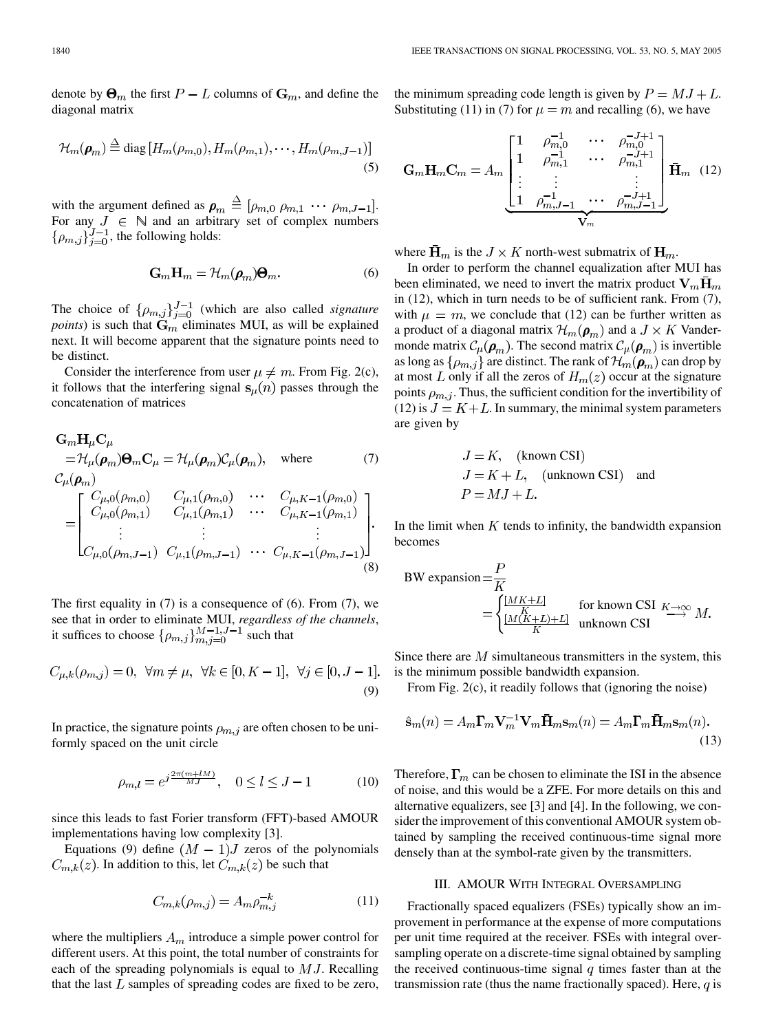denote by  $\mathbf{\Theta}_m$  the first  $P-L$  columns of  $\mathbf{G}_m$ , and define the diagonal matrix

$$
\mathcal{H}_m(\boldsymbol{\rho}_m) \stackrel{\triangle}{=} \text{diag}\left[H_m(\rho_{m,0}), H_m(\rho_{m,1}), \cdots, H_m(\rho_{m,J-1})\right]
$$
\n(5)

with the argument defined as  $\rho_m \triangleq [\rho_{m,0} \rho_{m,1} \cdots \rho_{m,J-1}].$ For any  $J \in \mathbb{N}$  and an arbitrary set of complex numbers  $\{\rho_{m,j}\}_{j=0}^{J-1}$ , the following holds:

$$
\mathbf{G}_m \mathbf{H}_m = \mathcal{H}_m(\boldsymbol{\rho}_m) \mathbf{\Theta}_m. \tag{6}
$$

The choice of  $\{\rho_{m,j}\}_{j=0}^{J-1}$  (which are also called *signature points*) is such that  $G_m$  eliminates MUI, as will be explained next. It will become apparent that the signature points need to be distinct.

Consider the interference from user  $\mu \neq m$ . From Fig. 2(c), it follows that the interfering signal  $s<sub>u</sub>(n)$  passes through the concatenation of matrices

$$
\mathbf{G}_{m}\mathbf{H}_{\mu}\mathbf{C}_{\mu} \n= \mathcal{H}_{\mu}(\rho_{m})\mathbf{\Theta}_{m}\mathbf{C}_{\mu} = \mathcal{H}_{\mu}(\rho_{m})\mathcal{C}_{\mu}(\rho_{m}), \text{ where } (7) \n\mathcal{C}_{\mu}(\rho_{m}) \n= \begin{bmatrix}\nC_{\mu,0}(\rho_{m,0}) & C_{\mu,1}(\rho_{m,0}) & \cdots & C_{\mu,K-1}(\rho_{m,0}) \\
C_{\mu,0}(\rho_{m,1}) & C_{\mu,1}(\rho_{m,1}) & \cdots & C_{\mu,K-1}(\rho_{m,1}) \\
\vdots & \vdots & & \vdots \\
C_{\mu,0}(\rho_{m,J-1}) & C_{\mu,1}(\rho_{m,J-1}) & \cdots & C_{\mu,K-1}(\rho_{m,J-1})\n\end{bmatrix}.
$$
\n(8)

The first equality in (7) is a consequence of (6). From (7), we see that in order to eliminate MUI, *regardless of the channels*, it suffices to choose  $\{\rho_{m,j}\}_{m,j=0}^{M-1,J-1}$  such that

$$
C_{\mu,k}(\rho_{m,j}) = 0, \ \forall m \neq \mu, \ \forall k \in [0, K - 1], \ \forall j \in [0, J - 1].
$$
\n(9)

In practice, the signature points  $\rho_{m,j}$  are often chosen to be uniformly spaced on the unit circle

$$
\rho_{m,l} = e^{j\frac{2\pi(m+lM)}{MJ}}, \quad 0 \le l \le J-1 \tag{10}
$$

since this leads to fast Forier transform (FFT)-based AMOUR implementations having low complexity [\[3](#page-14-0)].

Equations (9) define  $(M - 1)J$  zeros of the polynomials  $C_{m,k}(z)$ . In addition to this, let  $C_{m,k}(z)$  be such that

$$
C_{m,k}(\rho_{m,j}) = A_m \rho_{m,j}^{-k} \tag{11}
$$

where the multipliers  $A_m$  introduce a simple power control for different users. At this point, the total number of constraints for each of the spreading polynomials is equal to  $MJ$ . Recalling that the last  $L$  samples of spreading codes are fixed to be zero, the minimum spreading code length is given by  $P = MJ + L$ . Substituting (11) in (7) for  $\mu = m$  and recalling (6), we have

$$
\mathbf{G}_m \mathbf{H}_m \mathbf{C}_m = A_m \begin{bmatrix} 1 & \rho_{m,0}^{-1} & \cdots & \rho_{m,0}^{-J+1} \\ 1 & \rho_{m,1}^{-1} & \cdots & \rho_{m,1}^{-J+1} \\ \vdots & \vdots & & \vdots \\ 1 & \rho_{m,J-1}^{-1} & \cdots & \rho_{m,J-1}^{-J+1} \end{bmatrix} \bar{\mathbf{H}}_m \quad (12)
$$

where  $\bar{\mathbf{H}}_m$  is the  $J \times K$  north-west submatrix of  $\mathbf{H}_m$ .

In order to perform the channel equalization after MUI has been eliminated, we need to invert the matrix product  $V_m H_m$ in (12), which in turn needs to be of sufficient rank. From (7), with  $\mu = m$ , we conclude that (12) can be further written as a product of a diagonal matrix  $\mathcal{H}_m(\rho_m)$  and a  $J \times K$  Vandermonde matrix  $\mathcal{C}_{\mu}(\rho_m)$ . The second matrix  $\mathcal{C}_{\mu}(\rho_m)$  is invertible as long as  $\{\rho_{m,j}\}$  are distinct. The rank of  $\mathcal{H}_m(\rho_m)$  can drop by at most L only if all the zeros of  $H_m(z)$  occur at the signature points  $\rho_{m,j}$ . Thus, the sufficient condition for the invertibility of (12) is  $J = K + L$ . In summary, the minimal system parameters are given by

$$
J = K, \quad \text{(known CSI)}
$$
  
 
$$
J = K + L, \quad \text{(unknown CSI)} \quad \text{and}
$$
  
 
$$
P = MJ + L.
$$

In the limit when  $K$  tends to infinity, the bandwidth expansion becomes

BW expansion = 
$$
\frac{P}{K}
$$
  
=  $\begin{cases} \frac{[MK+L]}{K} & \text{for known CSI } K \rightarrow \infty \\ \frac{[MK+L]+L]}{K} & \text{unknown CSI} \end{cases}$  M.

Since there are  $M$  simultaneous transmitters in the system, this is the minimum possible bandwidth expansion.

From Fig. 2(c), it readily follows that (ignoring the noise)

$$
\hat{\mathbf{s}}_m(n) = A_m \mathbf{\Gamma}_m \mathbf{V}_m^{-1} \mathbf{V}_m \bar{\mathbf{H}}_m \mathbf{s}_m(n) = A_m \mathbf{\Gamma}_m \bar{\mathbf{H}}_m \mathbf{s}_m(n).
$$
\n(13)

Therefore,  $\Gamma_m$  can be chosen to eliminate the ISI in the absence of noise, and this would be a ZFE. For more details on this and alternative equalizers, see [\[3](#page-14-0)] and [[4\]](#page-14-0). In the following, we consider the improvement of this conventional AMOUR system obtained by sampling the received continuous-time signal more densely than at the symbol-rate given by the transmitters.

# III. AMOUR WITH INTEGRAL OVERSAMPLING

Fractionally spaced equalizers (FSEs) typically show an improvement in performance at the expense of more computations per unit time required at the receiver. FSEs with integral oversampling operate on a discrete-time signal obtained by sampling the received continuous-time signal  $q$  times faster than at the transmission rate (thus the name fractionally spaced). Here,  $q$  is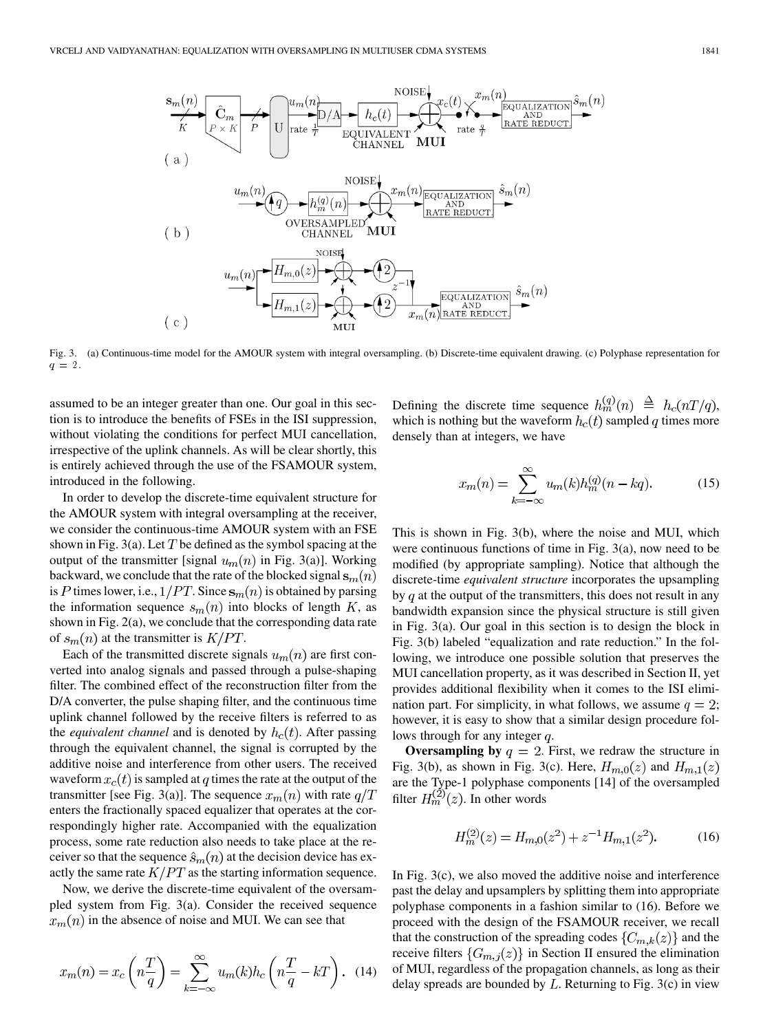

Fig. 3. (a) Continuous-time model for the AMOUR system with integral oversampling. (b) Discrete-time equivalent drawing. (c) Polyphase representation for  $q = 2$ .

assumed to be an integer greater than one. Our goal in this section is to introduce the benefits of FSEs in the ISI suppression, without violating the conditions for perfect MUI cancellation, irrespective of the uplink channels. As will be clear shortly, this is entirely achieved through the use of the FSAMOUR system, introduced in the following.

In order to develop the discrete-time equivalent structure for the AMOUR system with integral oversampling at the receiver, we consider the continuous-time AMOUR system with an FSE shown in Fig. 3(a). Let  $T$  be defined as the symbol spacing at the output of the transmitter [signal  $u_m(n)$  in Fig. 3(a)]. Working backward, we conclude that the rate of the blocked signal  $\mathbf{s}_m(n)$ is P times lower, i.e.,  $1/PT$ . Since  $s_m(n)$  is obtained by parsing the information sequence  $s_m(n)$  into blocks of length K, as shown in Fig. 2(a), we conclude that the corresponding data rate of  $s_m(n)$  at the transmitter is  $K/PT$ .

Each of the transmitted discrete signals  $u_m(n)$  are first converted into analog signals and passed through a pulse-shaping filter. The combined effect of the reconstruction filter from the D/A converter, the pulse shaping filter, and the continuous time uplink channel followed by the receive filters is referred to as the *equivalent channel* and is denoted by  $h_c(t)$ . After passing through the equivalent channel, the signal is corrupted by the additive noise and interference from other users. The received waveform  $x_c(t)$  is sampled at q times the rate at the output of the transmitter [see Fig. 3(a)]. The sequence  $x_m(n)$  with rate  $q/T$ enters the fractionally spaced equalizer that operates at the correspondingly higher rate. Accompanied with the equalization process, some rate reduction also needs to take place at the receiver so that the sequence  $\hat{s}_m(n)$  at the decision device has exactly the same rate  $K/PT$  as the starting information sequence.

Now, we derive the discrete-time equivalent of the oversampled system from Fig. 3(a). Consider the received sequence  $x_m(n)$  in the absence of noise and MUI. We can see that

$$
x_m(n) = x_c\left(n\frac{T}{q}\right) = \sum_{k=-\infty}^{\infty} u_m(k)h_c\left(n\frac{T}{q} - kT\right).
$$
 (14)

Defining the discrete time sequence  $h_m^{(q)}(n) \triangleq h_c(nT/q)$ , which is nothing but the waveform  $h_c(t)$  sampled q times more densely than at integers, we have

$$
x_m(n) = \sum_{k=-\infty}^{\infty} u_m(k) h_m^{(q)}(n - kq).
$$
 (15)

This is shown in Fig. 3(b), where the noise and MUI, which were continuous functions of time in Fig.  $3(a)$ , now need to be modified (by appropriate sampling). Notice that although the discrete-time *equivalent structure* incorporates the upsampling by  $q$  at the output of the transmitters, this does not result in any bandwidth expansion since the physical structure is still given in Fig. 3(a). Our goal in this section is to design the block in Fig. 3(b) labeled "equalization and rate reduction." In the following, we introduce one possible solution that preserves the MUI cancellation property, as it was described in Section II, yet provides additional flexibility when it comes to the ISI elimination part. For simplicity, in what follows, we assume  $q = 2$ ; however, it is easy to show that a similar design procedure follows through for any integer  $q$ .

**Oversampling by**  $q = 2$ . First, we redraw the structure in Fig. 3(b), as shown in Fig. 3(c). Here,  $H_{m,0}(z)$  and  $H_{m,1}(z)$ are the Type-1 polyphase components [\[14](#page-14-0)] of the oversampled filter  $H_m^{(2)}(z)$ . In other words

$$
H_m^{(2)}(z) = H_{m,0}(z^2) + z^{-1} H_{m,1}(z^2). \tag{16}
$$

In Fig. 3(c), we also moved the additive noise and interference past the delay and upsamplers by splitting them into appropriate polyphase components in a fashion similar to (16). Before we proceed with the design of the FSAMOUR receiver, we recall that the construction of the spreading codes  $\{C_{m,k}(z)\}\$  and the receive filters  $\{G_{m,j}(z)\}\$  in Section II ensured the elimination of MUI, regardless of the propagation channels, as long as their delay spreads are bounded by  $L$ . Returning to Fig. 3(c) in view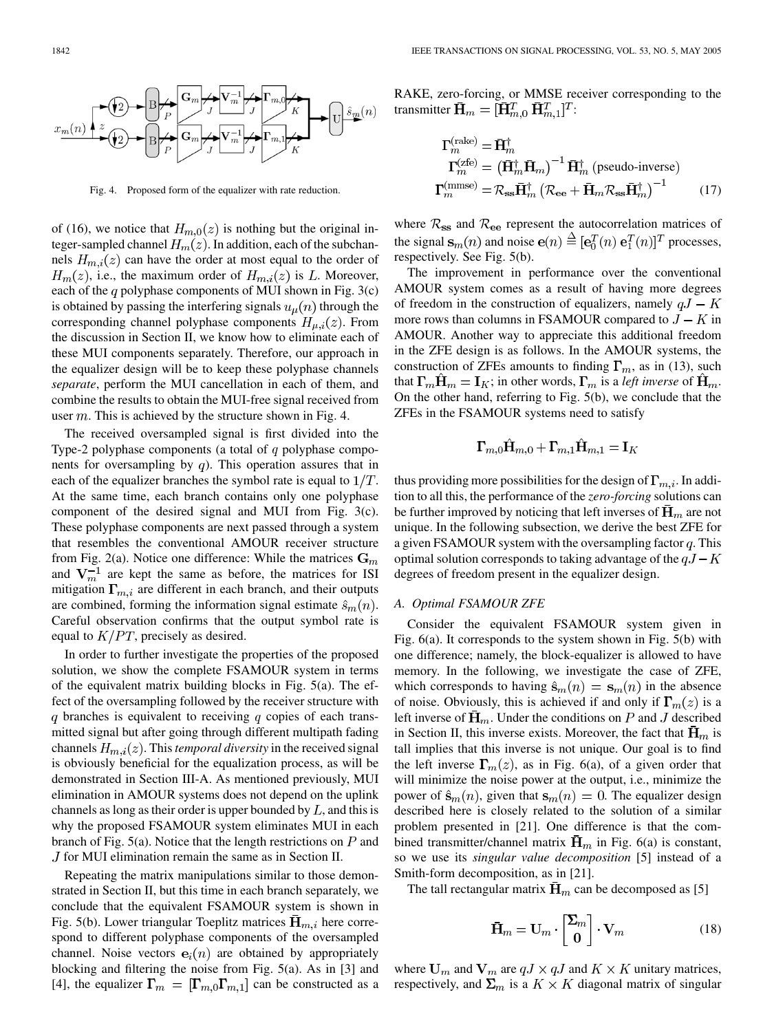

Fig. 4. Proposed form of the equalizer with rate reduction.

of (16), we notice that  $H_{m,0}(z)$  is nothing but the original integer-sampled channel  $H_m(z)$ . In addition, each of the subchannels  $H_{m,i}(z)$  can have the order at most equal to the order of  $H_m(z)$ , i.e., the maximum order of  $H_{m,i}(z)$  is L. Moreover, each of the q polyphase components of MUI shown in Fig.  $3(c)$ is obtained by passing the interfering signals  $u_{\mu}(n)$  through the corresponding channel polyphase components  $H_{\mu,i}(z)$ . From the discussion in Section II, we know how to eliminate each of these MUI components separately. Therefore, our approach in the equalizer design will be to keep these polyphase channels *separate*, perform the MUI cancellation in each of them, and combine the results to obtain the MUI-free signal received from user  $m$ . This is achieved by the structure shown in Fig. 4.

The received oversampled signal is first divided into the Type-2 polyphase components (a total of  $q$  polyphase components for oversampling by  $q$ ). This operation assures that in each of the equalizer branches the symbol rate is equal to  $1/T$ . At the same time, each branch contains only one polyphase component of the desired signal and MUI from Fig. 3(c). These polyphase components are next passed through a system that resembles the conventional AMOUR receiver structure from Fig. 2(a). Notice one difference: While the matrices  $G_m$ and  $V_m^{-1}$  are kept the same as before, the matrices for ISI mitigation  $\Gamma_{m,i}$  are different in each branch, and their outputs are combined, forming the information signal estimate  $\hat{s}_m(n)$ . Careful observation confirms that the output symbol rate is equal to  $K/PT$ , precisely as desired.

In order to further investigate the properties of the proposed solution, we show the complete FSAMOUR system in terms of the equivalent matrix building blocks in Fig. 5(a). The effect of the oversampling followed by the receiver structure with  $q$  branches is equivalent to receiving  $q$  copies of each transmitted signal but after going through different multipath fading channels  $H_{m,i}(z)$ . This *temporal diversity* in the received signal is obviously beneficial for the equalization process, as will be demonstrated in Section III-A. As mentioned previously, MUI elimination in AMOUR systems does not depend on the uplink channels as long as their order is upper bounded by  $L$ , and this is why the proposed FSAMOUR system eliminates MUI in each branch of Fig.  $5(a)$ . Notice that the length restrictions on P and  $J$  for MUI elimination remain the same as in Section II.

Repeating the matrix manipulations similar to those demonstrated in Section II, but this time in each branch separately, we conclude that the equivalent FSAMOUR system is shown in Fig. 5(b). Lower triangular Toeplitz matrices  $\mathbf{H}_{m,i}$  here correspond to different polyphase components of the oversampled channel. Noise vectors  $e_i(n)$  are obtained by appropriately blocking and filtering the noise from Fig. 5(a). As in [\[3](#page-14-0)] and [[4\]](#page-14-0), the equalizer  $\Gamma_m = [\Gamma_{m,0}\Gamma_{m,1}]$  can be constructed as a

RAKE, zero-forcing, or MMSE receiver corresponding to the transmitter  $\bar{\mathbf{H}}_m = [\bar{\mathbf{H}}_{m,0}^T \ \bar{\mathbf{H}}_{m,1}^T]^T$ :

$$
\Gamma_m^{(\text{rake})} = \bar{\mathbf{H}}_m^{\dagger} \n\Gamma_m^{(z\text{fe})} = \left(\bar{\mathbf{H}}_m^{\dagger} \bar{\mathbf{H}}_m\right)^{-1} \bar{\mathbf{H}}_m^{\dagger} \text{ (pseudo-inverse)} \n\Gamma_m^{(\text{mmse})} = \mathcal{R}_{\text{ss}} \bar{\mathbf{H}}_m^{\dagger} \left(\mathcal{R}_{\text{ee}} + \bar{\mathbf{H}}_m \mathcal{R}_{\text{ss}} \bar{\mathbf{H}}_m^{\dagger}\right)^{-1} \tag{17}
$$

where  $\mathcal{R}_{ss}$  and  $\mathcal{R}_{ee}$  represent the autocorrelation matrices of the signal  $\mathbf{s}_m(n)$  and noise  $\mathbf{e}(n) \stackrel{\Delta}{=} [\mathbf{e}_0^T(n) \mathbf{e}_1^T(n)]^T$  processes, respectively. See Fig. 5(b).

The improvement in performance over the conventional AMOUR system comes as a result of having more degrees of freedom in the construction of equalizers, namely  $qJ - K$ more rows than columns in FSAMOUR compared to  $J - K$  in AMOUR. Another way to appreciate this additional freedom in the ZFE design is as follows. In the AMOUR systems, the construction of ZFEs amounts to finding  $\Gamma_m$ , as in (13), such that  $\Gamma_m \dot{H}_m = I_K$ ; in other words,  $\Gamma_m$  is a *left inverse* of  $\dot{H}_m$ . On the other hand, referring to Fig. 5(b), we conclude that the ZFEs in the FSAMOUR systems need to satisfy

$$
\Gamma_{m,0}\hat{\mathbf{H}}_{m,0}+\Gamma_{m,1}\hat{\mathbf{H}}_{m,1}=\mathbf{I}_{K}
$$

thus providing more possibilities for the design of  $\Gamma_{m,i}$ . In addition to all this, the performance of the *zero-forcing* solutions can be further improved by noticing that left inverses of  $\mathbf{H}_m$  are not unique. In the following subsection, we derive the best ZFE for a given FSAMOUR system with the oversampling factor  $q$ . This optimal solution corresponds to taking advantage of the  $qJ - K$ degrees of freedom present in the equalizer design.

#### *A. Optimal FSAMOUR ZFE*

Consider the equivalent FSAMOUR system given in Fig. 6(a). It corresponds to the system shown in Fig. 5(b) with one difference; namely, the block-equalizer is allowed to have memory. In the following, we investigate the case of ZFE, which corresponds to having  $\hat{\mathbf{s}}_m(n) = \mathbf{s}_m(n)$  in the absence of noise. Obviously, this is achieved if and only if  $\Gamma_m(z)$  is a left inverse of  $\mathbf{H}_m$ . Under the conditions on P and J described in Section II, this inverse exists. Moreover, the fact that  $H_m$  is tall implies that this inverse is not unique. Our goal is to find the left inverse  $\Gamma_m(z)$ , as in Fig. 6(a), of a given order that will minimize the noise power at the output, i.e., minimize the power of  $\hat{\mathbf{s}}_m(n)$ , given that  $\mathbf{s}_m(n) = 0$ . The equalizer design described here is closely related to the solution of a similar problem presented in [\[21\]](#page-14-0). One difference is that the combined transmitter/channel matrix  $\overline{H}_m$  in Fig. 6(a) is constant, so we use its *singular value decomposition* [[5\]](#page-14-0) instead of a Smith-form decomposition, as in [[21\]](#page-14-0).

The tall rectangular matrix  $\bar{\mathbf{H}}_m$  can be decomposed as [[5\]](#page-14-0)

$$
\mathbf{\bar{H}}_m = \mathbf{U}_m \cdot \begin{bmatrix} \mathbf{\Sigma}_m \\ \mathbf{0} \end{bmatrix} \cdot \mathbf{V}_m \tag{18}
$$

where  $\mathbf{U}_m$  and  $\mathbf{V}_m$  are  $qJ \times qJ$  and  $K \times K$  unitary matrices, respectively, and  $\Sigma_m$  is a  $K \times K$  diagonal matrix of singular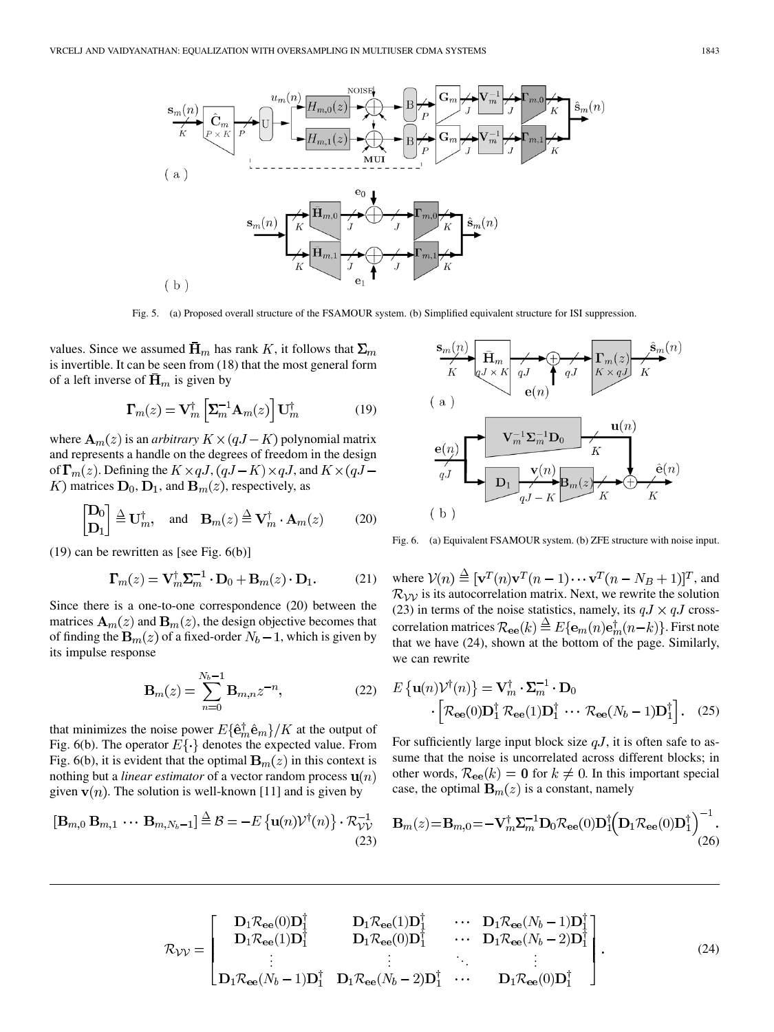

Fig. 5. (a) Proposed overall structure of the FSAMOUR system. (b) Simplified equivalent structure for ISI suppression.

values. Since we assumed  $\bar{H}_m$  has rank K, it follows that  $\Sigma_m$ is invertible. It can be seen from (18) that the most general form of a left inverse of  $\bar{\mathbf{H}}_m$  is given by

$$
\Gamma_m(z) = \mathbf{V}_m^{\dagger} \left[ \mathbf{\Sigma}_m^{-1} \mathbf{A}_m(z) \right] \mathbf{U}_m^{\dagger}
$$
 (19)

where  $\mathbf{A}_m(z)$  is an *arbitrary*  $K \times (qJ - K)$  polynomial matrix and represents a handle on the degrees of freedom in the design of  $\Gamma_m(z)$ . Defining the  $K \times qJ$ ,  $(qJ-K) \times qJ$ , and  $K \times (qJ -$ K) matrices  $D_0$ ,  $D_1$ , and  $B_m(z)$ , respectively, as

$$
\begin{bmatrix} \mathbf{D}_0 \\ \mathbf{D}_1 \end{bmatrix} \stackrel{\Delta}{=} \mathbf{U}_m^{\dagger}, \text{ and } \mathbf{B}_m(z) \stackrel{\Delta}{=} \mathbf{V}_m^{\dagger} \cdot \mathbf{A}_m(z) \tag{20}
$$

(19) can be rewritten as [see Fig. 6(b)]

$$
\mathbf{\Gamma}_m(z) = \mathbf{V}_m^{\dagger} \mathbf{\Sigma}_m^{-1} \cdot \mathbf{D}_0 + \mathbf{B}_m(z) \cdot \mathbf{D}_1.
$$
 (21)

Since there is a one-to-one correspondence (20) between the matrices  $A_m(z)$  and  $B_m(z)$ , the design objective becomes that of finding the  $\mathbf{B}_m(z)$  of a fixed-order  $N_b - 1$ , which is given by its impulse response

$$
\mathbf{B}_{m}(z) = \sum_{n=0}^{N_{b}-1} \mathbf{B}_{m,n} z^{-n},
$$
 (22)

that minimizes the noise power  $E{\{\hat{\mathbf{e}}_m^{\dagger} \hat{\mathbf{e}}_m\}}/K$  at the output of Fig. 6(b). The operator  $E\{\cdot\}$  denotes the expected value. From Fig. 6(b), it is evident that the optimal  ${\bf B}_m(z)$  in this context is nothing but a *linear estimator* of a vector random process  $\mathbf{u}(n)$ given  $\mathbf{v}(n)$ . The solution is well-known [\[11](#page-14-0)] and is given by

$$
[\mathbf{B}_{m,0}\,\mathbf{B}_{m,1}\,\cdots\,\mathbf{B}_{m,N_b-1}]\stackrel{\Delta}{=} \mathcal{B}=-E\left\{\mathbf{u}(n)\mathcal{V}^{\dagger}(n)\right\}\cdot\mathcal{R}_{\mathcal{V}\mathcal{V}}^{-1}
$$
\n(23)



Fig. 6. (a) Equivalent FSAMOUR system. (b) ZFE structure with noise input.

where  $V(n) \triangleq [\mathbf{v}^T(n)\mathbf{v}^T(n-1)\cdots\mathbf{v}^T(n-N_B+1)]^T$ , and  $\mathcal{R}_{\mathcal{V}\mathcal{V}}$  is its autocorrelation matrix. Next, we rewrite the solution (23) in terms of the noise statistics, namely, its  $qJ \times qJ$  crosscorrelation matrices  $\mathcal{R}_{ee}(k) \triangleq E\{e_m(n)e_m^{\dagger}(n-k)\}\.$  First note that we have (24), shown at the bottom of the page. Similarly, we can rewrite

$$
E\left\{ \mathbf{u}(n)\mathcal{V}^{\dagger}(n) \right\} = \mathbf{V}_{m}^{\dagger} \cdot \mathbf{\Sigma}_{m}^{-1} \cdot \mathbf{D}_{0}
$$

$$
\cdot \left[ \mathcal{R}_{ee}(0)\mathbf{D}_{1}^{\dagger} \mathcal{R}_{ee}(1)\mathbf{D}_{1}^{\dagger} \cdot \cdot \cdot \mathcal{R}_{ee}(N_{b}-1)\mathbf{D}_{1}^{\dagger} \right]. \quad (25)
$$

For sufficiently large input block size  $qJ$ , it is often safe to assume that the noise is uncorrelated across different blocks; in other words,  $\mathcal{R}_{ee}(k) = 0$  for  $k \neq 0$ . In this important special case, the optimal  $B_m(z)$  is a constant, namely

$$
\mathbf{B}_{m}(z) = \mathbf{B}_{m,0} = -\mathbf{V}_{m}^{\dagger} \mathbf{\Sigma}_{m}^{-1} \mathbf{D}_{0} \mathcal{R}_{ee}(0) \mathbf{D}_{1}^{\dagger} \left( \mathbf{D}_{1} \mathcal{R}_{ee}(0) \mathbf{D}_{1}^{\dagger} \right)^{-1} .
$$
\n(26)

$$
\mathcal{R}_{\mathcal{V}\mathcal{V}} = \begin{bmatrix} \mathbf{D}_{1}\mathcal{R}_{ee}(0)\mathbf{D}_{1}^{\dagger} & \mathbf{D}_{1}\mathcal{R}_{ee}(1)\mathbf{D}_{1}^{\dagger} & \cdots & \mathbf{D}_{1}\mathcal{R}_{ee}(N_{b}-1)\mathbf{D}_{1}^{\dagger} \\ \mathbf{D}_{1}\mathcal{R}_{ee}(1)\mathbf{D}_{1}^{\dagger} & \mathbf{D}_{1}\mathcal{R}_{ee}(0)\mathbf{D}_{1}^{\dagger} & \cdots & \mathbf{D}_{1}\mathcal{R}_{ee}(N_{b}-2)\mathbf{D}_{1}^{\dagger} \\ \vdots & \vdots & \ddots & \vdots \\ \mathbf{D}_{1}\mathcal{R}_{ee}(N_{b}-1)\mathbf{D}_{1}^{\dagger} & \mathbf{D}_{1}\mathcal{R}_{ee}(N_{b}-2)\mathbf{D}_{1}^{\dagger} & \cdots & \mathbf{D}_{1}\mathcal{R}_{ee}(0)\mathbf{D}_{1}^{\dagger} \end{bmatrix} .
$$
\n(24)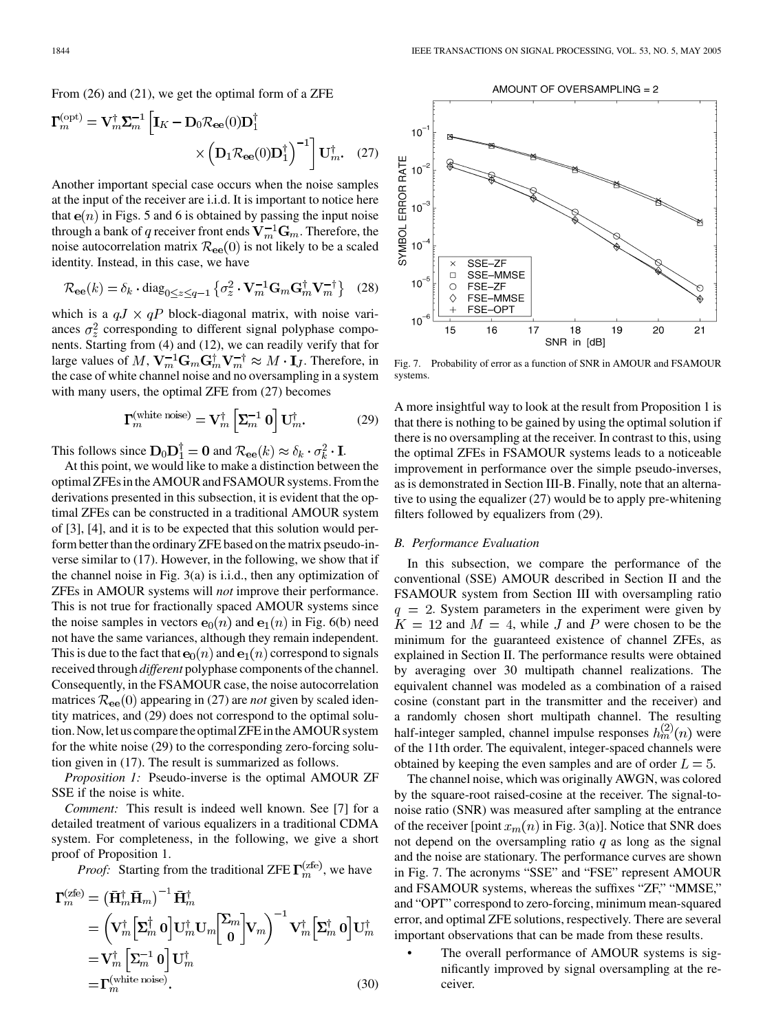From (26) and (21), we get the optimal form of a ZFE

$$
\mathbf{\Gamma}_{m}^{(\text{opt})} = \mathbf{V}_{m}^{\dagger} \mathbf{\Sigma}_{m}^{-1} \left[ \mathbf{I}_{K} - \mathbf{D}_{0} \mathcal{R}_{ee}(0) \mathbf{D}_{1}^{\dagger} \times \left( \mathbf{D}_{1} \mathcal{R}_{ee}(0) \mathbf{D}_{1}^{\dagger} \right)^{-1} \right] \mathbf{U}_{m}^{\dagger}.
$$
 (27)

Another important special case occurs when the noise samples at the input of the receiver are i.i.d. It is important to notice here that  $e(n)$  in Figs. 5 and 6 is obtained by passing the input noise through a bank of q receiver front ends  $\mathbf{V}_m^{-1} \mathbf{G}_m$ . Therefore, the noise autocorrelation matrix  $\mathcal{R}_{ee}(0)$  is not likely to be a scaled identity. Instead, in this case, we have

$$
\mathcal{R}_{ee}(k) = \delta_k \cdot \text{diag}_{0 \le z \le q-1} \left\{ \sigma_z^2 \cdot \mathbf{V}_m^{-1} \mathbf{G}_m \mathbf{G}_m^{\dagger} \mathbf{V}_m^{-\dagger} \right\} \tag{28}
$$

which is a  $qJ \times qP$  block-diagonal matrix, with noise variances  $\sigma_z^2$  corresponding to different signal polyphase components. Starting from (4) and (12), we can readily verify that for large values of  $M$ ,  $\mathbf{V}_m^{-1}\mathbf{G}_m\mathbf{G}_m^{\dagger}\mathbf{V}_m^{-\dagger} \approx M \cdot \mathbf{I}_J$ . Therefore, in the case of white channel noise and no oversampling in a system with many users, the optimal ZFE from (27) becomes

$$
\Gamma_m^{\text{(white noise)}} = \mathbf{V}_m^{\dagger} \left[ \mathbf{\Sigma}_m^{-1} \mathbf{0} \right] \mathbf{U}_m^{\dagger}.
$$
 (29)

This follows since  $\mathbf{D}_0 \mathbf{D}_1^{\dagger} = \mathbf{0}$  and  $\mathcal{R}_{ee}(k) \approx \delta_k \cdot \sigma_k^2 \cdot \mathbf{I}$ .

At this point, we would like to make a distinction between the optimal ZFEs in the AMOUR and FSAMOUR systems. From the derivations presented in this subsection, it is evident that the optimal ZFEs can be constructed in a traditional AMOUR system of [[3\]](#page-14-0), [\[4](#page-14-0)], and it is to be expected that this solution would perform better than the ordinary ZFE based on the matrix pseudo-inverse similar to (17). However, in the following, we show that if the channel noise in Fig. 3(a) is i.i.d., then any optimization of ZFEs in AMOUR systems will *not* improve their performance. This is not true for fractionally spaced AMOUR systems since the noise samples in vectors  $e_0(n)$  and  $e_1(n)$  in Fig. 6(b) need not have the same variances, although they remain independent. This is due to the fact that  $e_0(n)$  and  $e_1(n)$  correspond to signals received through *different* polyphase components of the channel. Consequently, in the FSAMOUR case, the noise autocorrelation matrices  $\mathcal{R}_{ee}(0)$  appearing in (27) are *not* given by scaled identity matrices, and (29) does not correspond to the optimal solution. Now, let us compare the optimal ZFE in the AMOUR system for the white noise (29) to the corresponding zero-forcing solution given in (17). The result is summarized as follows.

*Proposition 1:* Pseudo-inverse is the optimal AMOUR ZF SSE if the noise is white.

*Comment:* This result is indeed well known. See [\[7](#page-14-0)] for a detailed treatment of various equalizers in a traditional CDMA system. For completeness, in the following, we give a short proof of Proposition 1.

*Proof:* Starting from the traditional ZFE  $\Gamma_m^{(\text{zfe})}$ , we have

$$
\Gamma_m^{(\text{zfe})} = (\bar{\mathbf{H}}_m^{\dagger} \bar{\mathbf{H}}_m)^{-1} \bar{\mathbf{H}}_m^{\dagger} \n= \left( \mathbf{V}_m^{\dagger} \left[ \boldsymbol{\Sigma}_m^{\dagger} \mathbf{0} \right] \mathbf{U}_m^{\dagger} \mathbf{U}_m \left[ \boldsymbol{\Sigma}_m^{\dagger} \right] \mathbf{V}_m \right)^{-1} \mathbf{V}_m^{\dagger} \left[ \boldsymbol{\Sigma}_m^{\dagger} \mathbf{0} \right] \mathbf{U}_m^{\dagger} \n= \mathbf{V}_m^{\dagger} \left[ \boldsymbol{\Sigma}_m^{-1} \mathbf{0} \right] \mathbf{U}_m^{\dagger} \n= \mathbf{\Gamma}_m^{(\text{white noise})}.
$$
\n(30)



Fig. 7. Probability of error as a function of SNR in AMOUR and FSAMOUR systems.

A more insightful way to look at the result from Proposition 1 is that there is nothing to be gained by using the optimal solution if there is no oversampling at the receiver. In contrast to this, using the optimal ZFEs in FSAMOUR systems leads to a noticeable improvement in performance over the simple pseudo-inverses, as is demonstrated in Section III-B. Finally, note that an alternative to using the equalizer (27) would be to apply pre-whitening filters followed by equalizers from (29).

# *B. Performance Evaluation*

In this subsection, we compare the performance of the conventional (SSE) AMOUR described in Section II and the FSAMOUR system from Section III with oversampling ratio  $q = 2$ . System parameters in the experiment were given by  $K = 12$  and  $M = 4$ , while J and P were chosen to be the minimum for the guaranteed existence of channel ZFEs, as explained in Section II. The performance results were obtained by averaging over 30 multipath channel realizations. The equivalent channel was modeled as a combination of a raised cosine (constant part in the transmitter and the receiver) and a randomly chosen short multipath channel. The resulting half-integer sampled, channel impulse responses  $h_m^{(2)}(n)$  were of the 11th order. The equivalent, integer-spaced channels were obtained by keeping the even samples and are of order  $L = 5$ .

The channel noise, which was originally AWGN, was colored by the square-root raised-cosine at the receiver. The signal-tonoise ratio (SNR) was measured after sampling at the entrance of the receiver [point  $x_m(n)$  in Fig. 3(a)]. Notice that SNR does not depend on the oversampling ratio  $q$  as long as the signal and the noise are stationary. The performance curves are shown in Fig. 7. The acronyms "SSE" and "FSE" represent AMOUR and FSAMOUR systems, whereas the suffixes "ZF," "MMSE," and "OPT" correspond to zero-forcing, minimum mean-squared error, and optimal ZFE solutions, respectively. There are several important observations that can be made from these results.

The overall performance of AMOUR systems is significantly improved by signal oversampling at the receiver.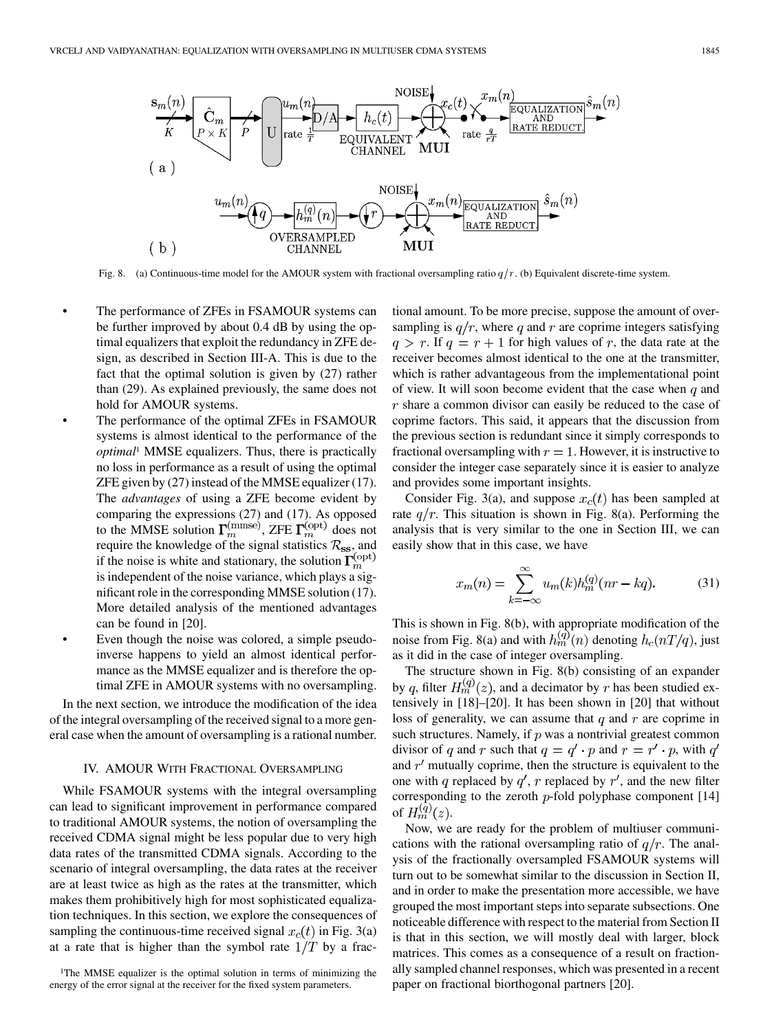

Fig. 8. (a) Continuous-time model for the AMOUR system with fractional oversampling ratio  $q/r$ . (b) Equivalent discrete-time system.

- The performance of ZFEs in FSAMOUR systems can be further improved by about 0.4 dB by using the optimal equalizers that exploit the redundancy in ZFE design, as described in Section III-A. This is due to the fact that the optimal solution is given by (27) rather than (29). As explained previously, the same does not hold for AMOUR systems.
- The performance of the optimal ZFEs in FSAMOUR systems is almost identical to the performance of the *optimal*<sup>1</sup> MMSE equalizers. Thus, there is practically no loss in performance as a result of using the optimal ZFE given by (27) instead of the MMSE equalizer (17). The *advantages* of using a ZFE become evident by comparing the expressions (27) and (17). As opposed to the MMSE solution  $\Gamma_m^{(\text{mmse})}$ , ZFE  $\Gamma_m^{(\text{opt})}$  does not require the knowledge of the signal statistics  $\mathcal{R}_{ss}$ , and if the noise is white and stationary, the solution  $\Gamma_m^{\text{(opt)}}$ is independent of the noise variance, which plays a significant role in the corresponding MMSE solution (17). More detailed analysis of the mentioned advantages can be found in [[20\]](#page-14-0).
	- Even though the noise was colored, a simple pseudoinverse happens to yield an almost identical performance as the MMSE equalizer and is therefore the optimal ZFE in AMOUR systems with no oversampling.

In the next section, we introduce the modification of the idea of the integral oversampling of the received signal to a more general case when the amount of oversampling is a rational number.

## IV. AMOUR WITH FRACTIONAL OVERSAMPLING

While FSAMOUR systems with the integral oversampling can lead to significant improvement in performance compared to traditional AMOUR systems, the notion of oversampling the received CDMA signal might be less popular due to very high data rates of the transmitted CDMA signals. According to the scenario of integral oversampling, the data rates at the receiver are at least twice as high as the rates at the transmitter, which makes them prohibitively high for most sophisticated equalization techniques. In this section, we explore the consequences of sampling the continuous-time received signal  $x_c(t)$  in Fig. 3(a) at a rate that is higher than the symbol rate  $1/T$  by a frac-

<sup>1</sup>The MMSE equalizer is the optimal solution in terms of minimizing the energy of the error signal at the receiver for the fixed system parameters.

tional amount. To be more precise, suppose the amount of oversampling is  $q/r$ , where q and r are coprime integers satisfying  $q > r$ . If  $q = r + 1$  for high values of r, the data rate at the receiver becomes almost identical to the one at the transmitter, which is rather advantageous from the implementational point of view. It will soon become evident that the case when  $q$  and  $r$  share a common divisor can easily be reduced to the case of coprime factors. This said, it appears that the discussion from the previous section is redundant since it simply corresponds to fractional oversampling with  $r = 1$ . However, it is instructive to consider the integer case separately since it is easier to analyze and provides some important insights.

Consider Fig. 3(a), and suppose  $x_c(t)$  has been sampled at rate  $q/r$ . This situation is shown in Fig. 8(a). Performing the analysis that is very similar to the one in Section III, we can easily show that in this case, we have

$$
x_m(n) = \sum_{k=-\infty}^{\infty} u_m(k)h_m^{(q)}(nr - kq). \tag{31}
$$

This is shown in Fig. 8(b), with appropriate modification of the noise from Fig. 8(a) and with  $h_m^{(q)}(n)$  denoting  $h_c(nT/q)$ , just as it did in the case of integer oversampling.

The structure shown in Fig. 8(b) consisting of an expander by q, filter  $H_m^{(q)}(z)$ , and a decimator by r has been studied extensively in [\[18](#page-14-0)]–[\[20\]](#page-14-0). It has been shown in [[20\]](#page-14-0) that without loss of generality, we can assume that  $q$  and  $r$  are coprime in such structures. Namely, if  $p$  was a nontrivial greatest common divisor of q and r such that  $q = q' \cdot p$  and  $r = r' \cdot p$ , with  $q'$ and  $r'$  mutually coprime, then the structure is equivalent to the one with q replaced by  $q'$ , r replaced by  $r'$ , and the new filter corresponding to the zeroth  $p$ -fold polyphase component [[14\]](#page-14-0) of  $H_m^{(q)}(z)$ .

Now, we are ready for the problem of multiuser communications with the rational oversampling ratio of  $q/r$ . The analysis of the fractionally oversampled FSAMOUR systems will turn out to be somewhat similar to the discussion in Section II, and in order to make the presentation more accessible, we have grouped the most important steps into separate subsections. One noticeable difference with respect to the material from Section II is that in this section, we will mostly deal with larger, block matrices. This comes as a consequence of a result on fractionally sampled channel responses, which was presented in a recent paper on fractional biorthogonal partners [\[20\]](#page-14-0).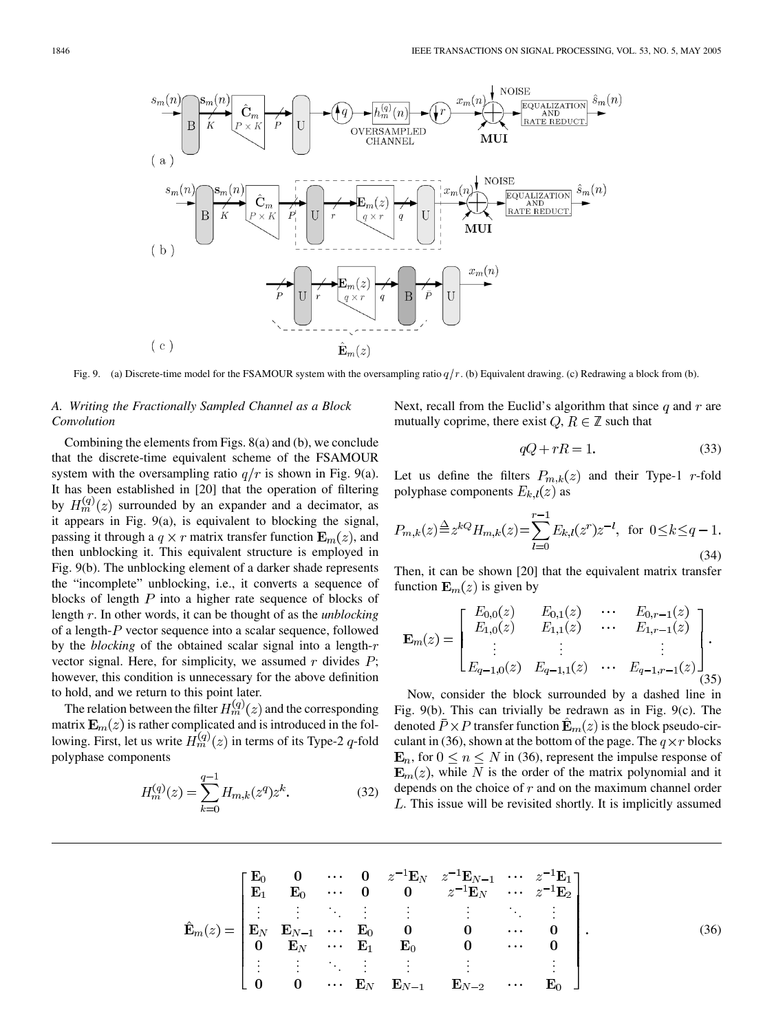

Fig. 9. (a) Discrete-time model for the FSAMOUR system with the oversampling ratio  $q/r$ . (b) Equivalent drawing. (c) Redrawing a block from (b).

# *A. Writing the Fractionally Sampled Channel as a Block Convolution*

Combining the elements from Figs. 8(a) and (b), we conclude that the discrete-time equivalent scheme of the FSAMOUR system with the oversampling ratio  $q/r$  is shown in Fig. 9(a). It has been established in [[20\]](#page-14-0) that the operation of filtering by  $H_m^{(q)}(z)$  surrounded by an expander and a decimator, as it appears in Fig. 9(a), is equivalent to blocking the signal, passing it through a  $q \times r$  matrix transfer function  $\mathbf{E}_{m}(z)$ , and then unblocking it. This equivalent structure is employed in Fig. 9(b). The unblocking element of a darker shade represents the "incomplete" unblocking, i.e., it converts a sequence of blocks of length  $P$  into a higher rate sequence of blocks of length  $r$ . In other words, it can be thought of as the *unblocking* of a length- $P$  vector sequence into a scalar sequence, followed by the *blocking* of the obtained scalar signal into a lengthvector signal. Here, for simplicity, we assumed  $r$  divides  $P$ ; however, this condition is unnecessary for the above definition to hold, and we return to this point later.

The relation between the filter  $H_m^{(q)}(z)$  and the corresponding matrix  $\mathbf{E}_m(z)$  is rather complicated and is introduced in the following. First, let us write  $H_m^{(q)}(z)$  in terms of its Type-2 q-fold polyphase components

$$
H_m^{(q)}(z) = \sum_{k=0}^{q-1} H_{m,k}(z^q) z^k.
$$
 (32)

Next, recall from the Euclid's algorithm that since  $q$  and  $r$  are mutually coprime, there exist  $Q, R \in \mathbb{Z}$  such that

$$
qQ + rR = 1.
$$
\n(33)

Let us define the filters  $P_{m,k}(z)$  and their Type-1 r-fold polyphase components  $E_{k,l}(z)$  as

$$
P_{m,k}(z) \stackrel{\Delta}{=} z^{kQ} H_{m,k}(z) = \sum_{l=0}^{r-1} E_{k,l}(z^r) z^{-l}, \text{ for } 0 \le k \le q-1.
$$
\n(34)

Then, it can be shown [[20\]](#page-14-0) that the equivalent matrix transfer function  $\mathbf{E}_m(z)$  is given by

$$
\mathbf{E}_{m}(z) = \begin{bmatrix} E_{0,0}(z) & E_{0,1}(z) & \cdots & E_{0,r-1}(z) \\ E_{1,0}(z) & E_{1,1}(z) & \cdots & E_{1,r-1}(z) \\ \vdots & \vdots & & \vdots \\ E_{q-1,0}(z) & E_{q-1,1}(z) & \cdots & E_{q-1,r-1}(z) \end{bmatrix} . \tag{35}
$$

Now, consider the block surrounded by a dashed line in Fig. 9(b). This can trivially be redrawn as in Fig. 9(c). The denoted  $\bar{P} \times P$  transfer function  $\mathbf{E}_m(z)$  is the block pseudo-circulant in (36), shown at the bottom of the page. The  $q \times r$  blocks  $\mathbf{E}_n$ , for  $0 \le n \le N$  in (36), represent the impulse response of  $\mathbf{E}_{m}(z)$ , while N is the order of the matrix polynomial and it depends on the choice of  $r$  and on the maximum channel order L. This issue will be revisited shortly. It is implicitly assumed

$$
\hat{\mathbf{E}}_{m}(z) = \begin{bmatrix}\n\mathbf{E}_{0} & 0 & \cdots & 0 & z^{-1}\mathbf{E}_{N} & z^{-1}\mathbf{E}_{N-1} & \cdots & z^{-1}\mathbf{E}_{1} \\
\mathbf{E}_{1} & \mathbf{E}_{0} & \cdots & 0 & 0 & z^{-1}\mathbf{E}_{N} & \cdots & z^{-1}\mathbf{E}_{2} \\
\vdots & \vdots & \ddots & \vdots & \vdots & \ddots & \vdots \\
\mathbf{E}_{N} & \mathbf{E}_{N-1} & \cdots & \mathbf{E}_{0} & 0 & 0 & \cdots & 0 \\
0 & \mathbf{E}_{N} & \cdots & \mathbf{E}_{1} & \mathbf{E}_{0} & 0 & \cdots & 0 \\
\vdots & \vdots & \ddots & \vdots & \vdots & \vdots & \vdots \\
0 & 0 & \cdots & \mathbf{E}_{N} & \mathbf{E}_{N-1} & \mathbf{E}_{N-2} & \cdots & \mathbf{E}_{0}\n\end{bmatrix}.
$$
\n(36)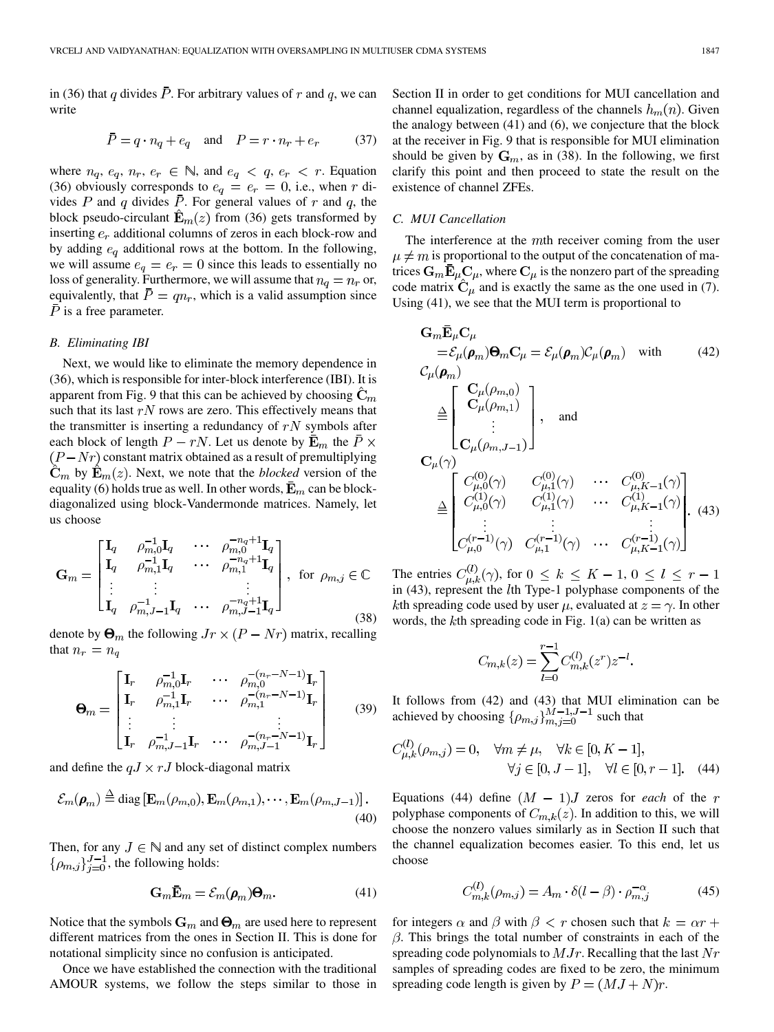in (36) that q divides  $\bar{P}$ . For arbitrary values of r and q, we can write

$$
\bar{P} = q \cdot n_q + e_q \quad \text{and} \quad P = r \cdot n_r + e_r \tag{37}
$$

where  $n_q, e_q, n_r, e_r \in \mathbb{N}$ , and  $e_q < q, e_r < r$ . Equation (36) obviously corresponds to  $e_q = e_r = 0$ , i.e., when r divides P and q divides  $\bar{P}$ . For general values of r and q, the block pseudo-circulant  $\mathbf{E}_m(z)$  from (36) gets transformed by inserting  $e_r$  additional columns of zeros in each block-row and by adding  $e_q$  additional rows at the bottom. In the following, we will assume  $e_q = e_r = 0$  since this leads to essentially no loss of generality. Furthermore, we will assume that  $n_q = n_r$  or, equivalently, that  $P = qn_r$ , which is a valid assumption since  *is a free parameter.* 

### *B. Eliminating IBI*

Next, we would like to eliminate the memory dependence in (36), which is responsible for inter-block interference (IBI). It is apparent from Fig. 9 that this can be achieved by choosing  $\mathbf{C}_m$ such that its last  $rN$  rows are zero. This effectively means that the transmitter is inserting a redundancy of  $rN$  symbols after each block of length  $P - rN$ . Let us denote by  $\mathbf{\bar{E}}_m$  the  $\bar{P} \times$  $(P - Nr)$  constant matrix obtained as a result of premultiplying  $\hat{\mathbf{C}}_m$  by  $\hat{\mathbf{E}}_m(z)$ . Next, we note that the *blocked* version of the equality (6) holds true as well. In other words,  $\mathbf{\bar{E}}_m$  can be blockdiagonalized using block-Vandermonde matrices. Namely, let us choose

$$
\mathbf{G}_{m} = \begin{bmatrix} \mathbf{I}_{q} & \rho_{m,0}^{-1} \mathbf{I}_{q} & \cdots & \rho_{m,0}^{-n_{q}+1} \mathbf{I}_{q} \\ \mathbf{I}_{q} & \rho_{m,1}^{-1} \mathbf{I}_{q} & \cdots & \rho_{m,1}^{-n_{q}+1} \mathbf{I}_{q} \\ \vdots & \vdots & & \vdots \\ \mathbf{I}_{q} & \rho_{m,J-1}^{-1} \mathbf{I}_{q} & \cdots & \rho_{m,J-1}^{-n_{q}+1} \mathbf{I}_{q} \end{bmatrix}, \text{ for } \rho_{m,j} \in \mathbb{C}
$$
\n(38)

denote by  $\mathbf{\Theta}_m$  the following  $Jr \times (P - Nr)$  matrix, recalling that  $n_r\,=\,n_q$ 

$$
\mathbf{\Theta}_{m} = \begin{bmatrix} \mathbf{I}_{r} & \rho_{m,0}^{-1} \mathbf{I}_{r} & \cdots & \rho_{m,0}^{-(n_{r}-N-1)} \mathbf{I}_{r} \\ \mathbf{I}_{r} & \rho_{m,1}^{-1} \mathbf{I}_{r} & \cdots & \rho_{m,1}^{-(n_{r}-N-1)} \mathbf{I}_{r} \\ \vdots & \vdots & & \vdots \\ \mathbf{I}_{r} & \rho_{m,J-1}^{-1} \mathbf{I}_{r} & \cdots & \rho_{m,J-1}^{-(n_{r}-N-1)} \mathbf{I}_{r} \end{bmatrix}
$$
(39)

and define the  $qJ \times rJ$  block-diagonal matrix

$$
\mathcal{E}_m(\boldsymbol{\rho}_m) \stackrel{\Delta}{=} \text{diag}\left[\mathbf{E}_m(\rho_{m,0}), \mathbf{E}_m(\rho_{m,1}), \cdots, \mathbf{E}_m(\rho_{m,J-1})\right].
$$
\n(40)

Then, for any  $J \in \mathbb{N}$  and any set of distinct complex numbers  $\{\rho_{m,j}\}_{j=0}^{J-1}$ , the following holds:

$$
\mathbf{G}_m \mathbf{\bar{E}}_m = \mathcal{E}_m(\boldsymbol{\rho}_m) \mathbf{\Theta}_m. \tag{41}
$$

Notice that the symbols  $G_m$  and  $\Theta_m$  are used here to represent different matrices from the ones in Section II. This is done for notational simplicity since no confusion is anticipated.

Once we have established the connection with the traditional AMOUR systems, we follow the steps similar to those in Section II in order to get conditions for MUI cancellation and channel equalization, regardless of the channels  $h_m(n)$ . Given the analogy between (41) and (6), we conjecture that the block at the receiver in Fig. 9 that is responsible for MUI elimination should be given by  $G_m$ , as in (38). In the following, we first clarify this point and then proceed to state the result on the existence of channel ZFEs.

## *C. MUI Cancellation*

The interference at the  $m$ th receiver coming from the user  $\mu \neq m$  is proportional to the output of the concatenation of matrices  $G_m \bar{E}_{\mu} C_{\mu}$ , where  $C_{\mu}$  is the nonzero part of the spreading code matrix  $\hat{\mathbf{C}}_{\mu}$  and is exactly the same as the one used in (7). Using (41), we see that the MUI term is proportional to

$$
\mathbf{G}_{m}\mathbf{E}_{\mu}\mathbf{C}_{\mu} = \varepsilon_{\mu}(\rho_{m})\mathbf{\Theta}_{m}\mathbf{C}_{\mu} = \varepsilon_{\mu}(\rho_{m})\mathcal{C}_{\mu}(\rho_{m}) \quad \text{with} \quad (42)
$$
\n
$$
\mathcal{C}_{\mu}(\rho_{m}) = \begin{bmatrix}\n\mathbf{C}_{\mu}(\rho_{m,0}) \\
\mathbf{C}_{\mu}(\rho_{m,1}) \\
\vdots \\
\mathbf{C}_{\mu}(\rho_{m,J-1})\n\end{bmatrix}, \quad \text{and}
$$
\n
$$
\mathbf{C}_{\mu}(\gamma) = \begin{bmatrix}\nC_{\mu,0}^{(0)}(\gamma) & C_{\mu,1}^{(0)}(\gamma) & \cdots & C_{\mu,K-1}^{(0)}(\gamma) \\
C_{\mu,0}^{(1)}(\gamma) & C_{\mu,1}^{(1)}(\gamma) & \cdots & C_{\mu,K-1}^{(1)}(\gamma) \\
\vdots & \vdots & \vdots & \vdots \\
C_{\mu,0}^{(r-1)}(\gamma) & C_{\mu,1}^{(r-1)}(\gamma) & \cdots & C_{\mu,K-1}^{(r-1)}(\gamma)\n\end{bmatrix}.
$$
\n(43)

The entries  $C_{\mu,k}^{(l)}(\gamma)$ , for  $0 \le k \le K - 1, 0 \le l \le r - 1$ in  $(43)$ , represent the *l*th Type-1 polyphase components of the kth spreading code used by user  $\mu$ , evaluated at  $z = \gamma$ . In other words, the  $k$ th spreading code in Fig. 1(a) can be written as

$$
C_{m,k}(z) = \sum_{l=0}^{r-1} C_{m,k}^{(l)}(z^r) z^{-l}.
$$

It follows from (42) and (43) that MUI elimination can be achieved by choosing  $\{\rho_{m,j}\}_{m,j=0}^{M-1,J-1}$  such that

$$
C_{\mu,k}^{(l)}(\rho_{m,j}) = 0, \quad \forall m \neq \mu, \quad \forall k \in [0, K - 1],
$$
  

$$
\forall j \in [0, J - 1], \quad \forall l \in [0, r - 1]. \quad (44)
$$

Equations (44) define  $(M - 1)J$  zeros for *each* of the r polyphase components of  $C_{m,k}(z)$ . In addition to this, we will choose the nonzero values similarly as in Section II such that the channel equalization becomes easier. To this end, let us choose

$$
C_{m,k}^{(l)}(\rho_{m,j}) = A_m \cdot \delta(l-\beta) \cdot \rho_{m,j}^{-\alpha} \tag{45}
$$

for integers  $\alpha$  and  $\beta$  with  $\beta < r$  chosen such that  $k = \alpha r + \beta$  $\beta$ . This brings the total number of constraints in each of the spreading code polynomials to  $MJr$ . Recalling that the last  $Nr$ samples of spreading codes are fixed to be zero, the minimum spreading code length is given by  $P = (MJ + N)r$ .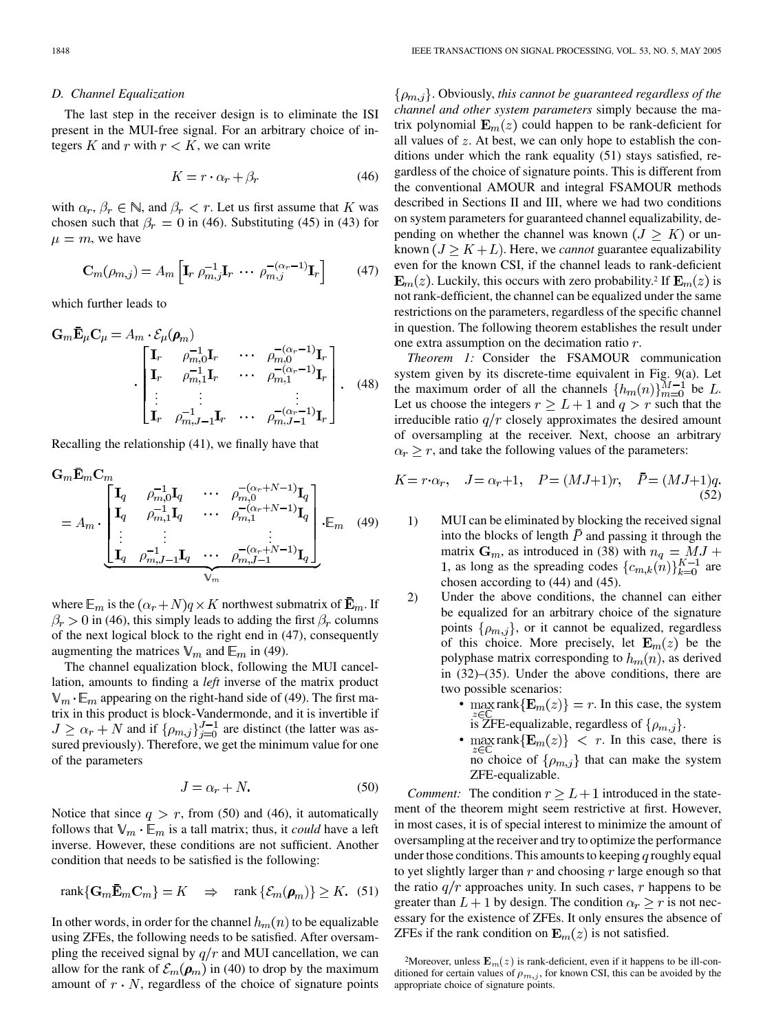## *D. Channel Equalization*

The last step in the receiver design is to eliminate the ISI present in the MUI-free signal. For an arbitrary choice of integers K and r with  $r < K$ , we can write

$$
K = r \cdot \alpha_r + \beta_r \tag{46}
$$

with  $\alpha_r, \beta_r \in \mathbb{N}$ , and  $\beta_r < r$ . Let us first assume that K was chosen such that  $\beta_r = 0$  in (46). Substituting (45) in (43) for  $\mu = m$ , we have

$$
\mathbf{C}_{m}(\rho_{m,j}) = A_m \left[ \mathbf{I}_r \; \rho_{m,j}^{-1} \mathbf{I}_r \; \cdots \; \rho_{m,j}^{-(\alpha_r - 1)} \mathbf{I}_r \right] \tag{47}
$$

which further leads to

$$
\mathbf{G}_{m}\mathbf{\bar{E}}_{\mu}\mathbf{C}_{\mu} = A_{m} \cdot \mathcal{E}_{\mu}(\rho_{m})
$$
\n
$$
\begin{bmatrix}\n\mathbf{I}_{r} & \rho_{m,0}^{-1}\mathbf{I}_{r} & \cdots & \rho_{m,0}^{-(\alpha_{r}-1)}\mathbf{I}_{r} \\
\mathbf{I}_{r} & \rho_{m,1}^{-1}\mathbf{I}_{r} & \cdots & \rho_{m,1}^{-(\alpha_{r}-1)}\mathbf{I}_{r} \\
\vdots & \vdots & \ddots & \vdots \\
\mathbf{I}_{r} & \rho_{m,J-1}^{-1}\mathbf{I}_{r} & \cdots & \rho_{m,J-1}^{-(\alpha_{r}-1)}\mathbf{I}_{r}\n\end{bmatrix}.
$$
\n(48)

Recalling the relationship (41), we finally have that

$$
\mathbf{G}_{m}\mathbf{\bar{E}}_{m}\mathbf{C}_{m}
$$
\n
$$
= A_{m} \cdot \begin{bmatrix}\n\mathbf{I}_{q} & \rho_{m,0}^{-1}\mathbf{I}_{q} & \cdots & \rho_{m,0}^{-(\alpha_{r}+N-1)}\mathbf{I}_{q} \\
\mathbf{I}_{q} & \rho_{m,1}^{-1}\mathbf{I}_{q} & \cdots & \rho_{m,1}^{-(\alpha_{r}+N-1)}\mathbf{I}_{q} \\
\vdots & \vdots & & \vdots \\
\mathbf{I}_{q} & \rho_{m,J-1}^{-1}\mathbf{I}_{q} & \cdots & \rho_{m,J-1}^{-(\alpha_{r}+N-1)}\mathbf{I}_{q}\n\end{bmatrix} \mathbf{E}_{m}
$$
\n(49)

where  $\mathbb{E}_m$  is the  $(\alpha_r+N)q\times K$  northwest submatrix of  $\mathbf{E}_m$ . If  $\beta_r > 0$  in (46), this simply leads to adding the first  $\beta_r$  columns of the next logical block to the right end in (47), consequently augmenting the matrices  $\mathbb{V}_m$  and  $\mathbb{E}_m$  in (49).

The channel equalization block, following the MUI cancellation, amounts to finding a *left* inverse of the matrix product  $\mathbb{V}_m \cdot \mathbb{E}_m$  appearing on the right-hand side of (49). The first matrix in this product is block-Vandermonde, and it is invertible if  $J \ge \alpha_r + N$  and if  $\{\rho_{m,j}\}_{j=0}^{J-1}$  are distinct (the latter was assured previously). Therefore, we get the minimum value for one of the parameters

$$
J = \alpha_r + N. \tag{50}
$$

Notice that since  $q > r$ , from (50) and (46), it automatically follows that  $V_m \cdot \mathbb{E}_m$  is a tall matrix; thus, it *could* have a left inverse. However, these conditions are not sufficient. Another condition that needs to be satisfied is the following:

$$
rank{G_m \bar{\mathbf{E}}_m \mathbf{C}_m} = K \Rightarrow rank{E_m(\boldsymbol{\rho}_m)} \geq K. (51)
$$

In other words, in order for the channel  $h_m(n)$  to be equalizable using ZFEs, the following needs to be satisfied. After oversampling the received signal by  $q/r$  and MUI cancellation, we can allow for the rank of  $\mathcal{E}_m(\rho_m)$  in (40) to drop by the maximum amount of  $r \cdot N$ , regardless of the choice of signature points

 $\{\rho_{m,j}\}\.$  Obviously, *this cannot be guaranteed regardless of the channel and other system parameters* simply because the matrix polynomial  $E_m(z)$  could happen to be rank-deficient for all values of  $z$ . At best, we can only hope to establish the conditions under which the rank equality (51) stays satisfied, regardless of the choice of signature points. This is different from the conventional AMOUR and integral FSAMOUR methods described in Sections II and III, where we had two conditions on system parameters for guaranteed channel equalizability, depending on whether the channel was known  $(J \geq K)$  or unknown  $(J \geq K + L)$ . Here, we *cannot* guarantee equalizability even for the known CSI, if the channel leads to rank-deficient  $\mathbf{E}_{m}(z)$ . Luckily, this occurs with zero probability.<sup>2</sup> If  $\mathbf{E}_{m}(z)$  is not rank-defficient, the channel can be equalized under the same restrictions on the parameters, regardless of the specific channel in question. The following theorem establishes the result under one extra assumption on the decimation ratio  $r$ .

*Theorem 1:* Consider the FSAMOUR communication system given by its discrete-time equivalent in Fig. 9(a). Let the maximum order of all the channels  $\{h_m(n)\}_{m=0}^{M-1}$  be L. Let us choose the integers  $r \geq L+1$  and  $q > r$  such that the irreducible ratio  $q/r$  closely approximates the desired amount of oversampling at the receiver. Next, choose an arbitrary  $\alpha_r \geq r$ , and take the following values of the parameters:

$$
K = r \cdot \alpha_r, \quad J = \alpha_r + 1, \quad P = (MJ + 1)r, \quad \bar{P} = (MJ + 1)q.
$$
\n
$$
(52)
$$

- 1) MUI can be eliminated by blocking the received signal into the blocks of length  $\bar{P}$  and passing it through the matrix  $G_m$ , as introduced in (38) with  $n_q = MJ +$ 1, as long as the spreading codes  $\{c_{m,k}(n)\}_{k=0}^{K-1}$  are chosen according to (44) and (45).
- 2) Under the above conditions, the channel can either be equalized for an arbitrary choice of the signature points  $\{\rho_{m,j}\}\$ , or it cannot be equalized, regardless of this choice. More precisely, let  $\mathbf{E}_m(z)$  be the polyphase matrix corresponding to  $h_m(n)$ , as derived in (32)–(35). Under the above conditions, there are two possible scenarios:
	- max rank  $\{E_m(z)\} = r$ . In this case, the system is ZFE-equalizable, regardless of  $\{\rho_{m,j}\}.$
	- max rank  $\{\mathbf E_m(z)\} \leq r$ . In this case, there is no choice of  $\{\rho_{m,j}\}\$  that can make the system ZFE-equalizable.

*Comment:* The condition  $r \geq L+1$  introduced in the statement of the theorem might seem restrictive at first. However, in most cases, it is of special interest to minimize the amount of oversampling at the receiver and try to optimize the performance under those conditions. This amounts to keeping q roughly equal to yet slightly larger than  $r$  and choosing  $r$  large enough so that the ratio  $q/r$  approaches unity. In such cases, r happens to be greater than  $L+1$  by design. The condition  $\alpha_r \ge r$  is not necessary for the existence of ZFEs. It only ensures the absence of ZFEs if the rank condition on  $\mathbf{E}_{m}(z)$  is not satisfied.

<sup>&</sup>lt;sup>2</sup>Moreover, unless  $\mathbf{E}_m(z)$  is rank-deficient, even if it happens to be ill-conditioned for certain values of  $\rho_{m,j}$ , for known CSI, this can be avoided by the appropriate choice of signature points.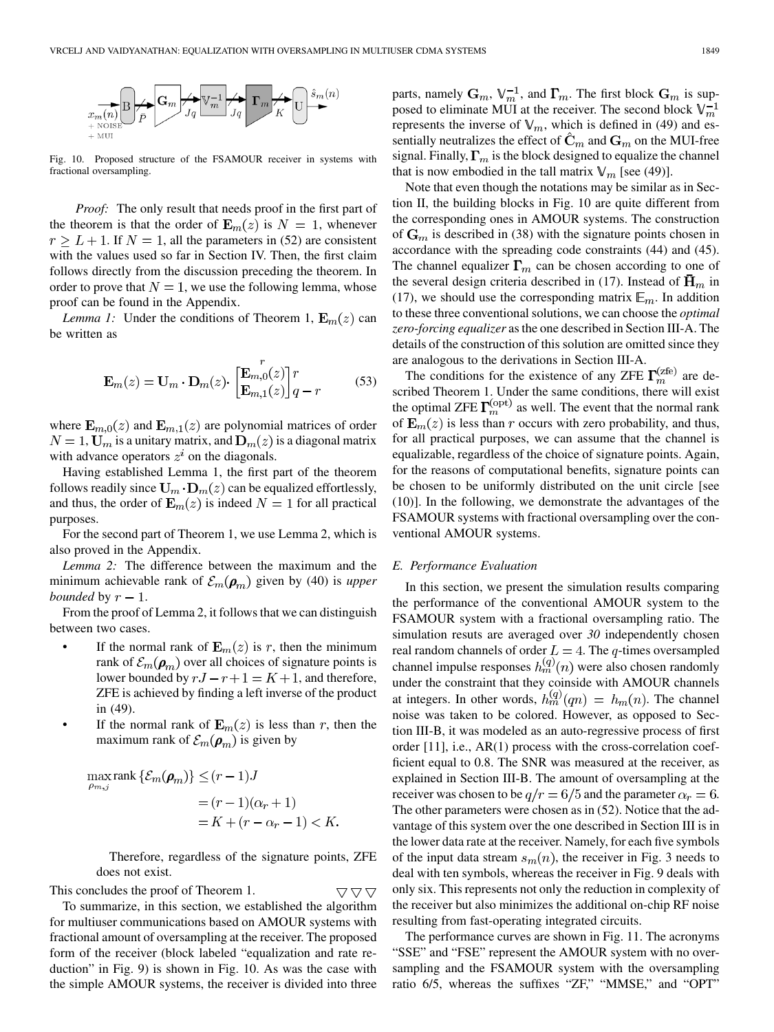

Fig. 10. Proposed structure of the FSAMOUR receiver in systems with fractional oversampling.

*Proof:* The only result that needs proof in the first part of the theorem is that the order of  $\mathbf{E}_m(z)$  is  $N = 1$ , whenever  $r \geq L + 1$ . If  $N = 1$ , all the parameters in (52) are consistent with the values used so far in Section IV. Then, the first claim follows directly from the discussion preceding the theorem. In order to prove that  $N = 1$ , we use the following lemma, whose proof can be found in the Appendix.

*Lemma 1:* Under the conditions of Theorem 1,  $E_m(z)$  can be written as

$$
\mathbf{E}_{m}(z) = \mathbf{U}_{m} \cdot \mathbf{D}_{m}(z) \cdot \begin{bmatrix} \mathbf{E}_{m,0}(z) \\ \mathbf{E}_{m,1}(z) \end{bmatrix} \begin{bmatrix} r \\ q - r \end{bmatrix}
$$
(53)

where  $\mathbf{E}_{m,0}(z)$  and  $\mathbf{E}_{m,1}(z)$  are polynomial matrices of order  $N = 1$ ,  $\mathbf{U}_m$  is a unitary matrix, and  $\mathbf{D}_m(z)$  is a diagonal matrix with advance operators  $z^i$  on the diagonals.

Having established Lemma 1, the first part of the theorem follows readily since  $\mathbf{U}_m \cdot \mathbf{D}_m(z)$  can be equalized effortlessly, and thus, the order of  $\mathbf{E}_m(z)$  is indeed  $N=1$  for all practical purposes.

For the second part of Theorem 1, we use Lemma 2, which is also proved in the Appendix.

*Lemma 2:* The difference between the maximum and the minimum achievable rank of  $\mathcal{E}_m(\rho_m)$  given by (40) is *upper bounded* by  $r - 1$ .

From the proof of Lemma 2, it follows that we can distinguish between two cases.

- If the normal rank of  $\mathbf{E}_m(z)$  is r, then the minimum rank of  $\mathcal{E}_m(\rho_m)$  over all choices of signature points is lower bounded by  $rJ - r + 1 = K + 1$ , and therefore, ZFE is achieved by finding a left inverse of the product in (49).
- If the normal rank of  $\mathbf{E}_m(z)$  is less than r, then the maximum rank of  $\mathcal{E}_m(\boldsymbol{\rho}_m)$  is given by

$$
\max_{\rho_{m,j}} \text{rank}\left\{\mathcal{E}_m(\pmb{\rho}_m)\right\} \le (r-1)J
$$

$$
= (r-1)(\alpha_r + 1)
$$

$$
= K + (r - \alpha_r - 1) < K.
$$

Therefore, regardless of the signature points, ZFE does not exist.

This concludes the proof of Theorem 1.  $\triangledown$   $\triangledown$ 

To summarize, in this section, we established the algorithm for multiuser communications based on AMOUR systems with fractional amount of oversampling at the receiver. The proposed form of the receiver (block labeled "equalization and rate reduction" in Fig. 9) is shown in Fig. 10. As was the case with the simple AMOUR systems, the receiver is divided into three parts, namely  $G_m$ ,  $\mathbb{V}_m^{-1}$ , and  $\Gamma_m$ . The first block  $G_m$  is supposed to eliminate MUI at the receiver. The second block  $\mathbb{V}_m^{-1}$ represents the inverse of  $V_m$ , which is defined in (49) and essentially neutralizes the effect of  $\mathbf{C}_m$  and  $\mathbf{G}_m$  on the MUI-free signal. Finally,  $\Gamma_m$  is the block designed to equalize the channel that is now embodied in the tall matrix  $V_m$  [see (49)].

Note that even though the notations may be similar as in Section II, the building blocks in Fig. 10 are quite different from the corresponding ones in AMOUR systems. The construction of  $G_m$  is described in (38) with the signature points chosen in accordance with the spreading code constraints (44) and (45). The channel equalizer  $\Gamma_m$  can be chosen according to one of the several design criteria described in (17). Instead of  $\mathbf{H}_m$  in (17), we should use the corresponding matrix  $\mathbb{E}_m$ . In addition to these three conventional solutions, we can choose the *optimal zero-forcing equalizer* as the one described in Section III-A. The details of the construction of this solution are omitted since they are analogous to the derivations in Section III-A.

The conditions for the existence of any ZFE  $\Gamma_m^{\text{(zfe)}}$  are described Theorem 1. Under the same conditions, there will exist the optimal ZFE  $\Gamma_m^{\text{(opt)}}$  as well. The event that the normal rank of  $\mathbf{E}_m(z)$  is less than r occurs with zero probability, and thus, for all practical purposes, we can assume that the channel is equalizable, regardless of the choice of signature points. Again, for the reasons of computational benefits, signature points can be chosen to be uniformly distributed on the unit circle [see (10)]. In the following, we demonstrate the advantages of the FSAMOUR systems with fractional oversampling over the conventional AMOUR systems.

## *E. Performance Evaluation*

In this section, we present the simulation results comparing the performance of the conventional AMOUR system to the FSAMOUR system with a fractional oversampling ratio. The simulation resuts are averaged over *30* independently chosen real random channels of order  $L = 4$ . The q-times oversampled channel impulse responses  $h_m^{(q)}(n)$  were also chosen randomly under the constraint that they coinside with AMOUR channels at integers. In other words,  $h_m^{(q)}(qn) = h_m(n)$ . The channel noise was taken to be colored. However, as opposed to Section III-B, it was modeled as an auto-regressive process of first order [\[11](#page-14-0)], i.e., AR(1) process with the cross-correlation coefficient equal to 0.8. The SNR was measured at the receiver, as explained in Section III-B. The amount of oversampling at the receiver was chosen to be  $q/r = 6/5$  and the parameter  $\alpha_r = 6$ . The other parameters were chosen as in (52). Notice that the advantage of this system over the one described in Section III is in the lower data rate at the receiver. Namely, for each five symbols of the input data stream  $s_m(n)$ , the receiver in Fig. 3 needs to deal with ten symbols, whereas the receiver in Fig. 9 deals with only six. This represents not only the reduction in complexity of the receiver but also minimizes the additional on-chip RF noise resulting from fast-operating integrated circuits.

The performance curves are shown in Fig. 11. The acronyms "SSE" and "FSE" represent the AMOUR system with no oversampling and the FSAMOUR system with the oversampling ratio 6/5, whereas the suffixes "ZF," "MMSE," and "OPT"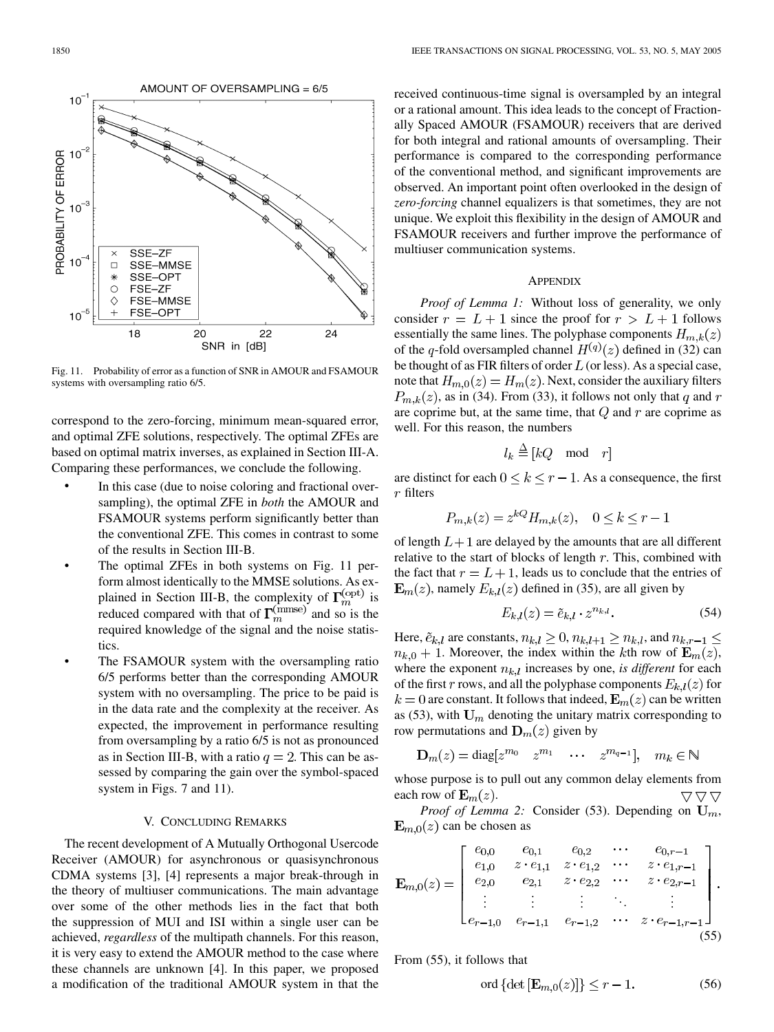

Fig. 11. Probability of error as a function of SNR in AMOUR and FSAMOUR systems with oversampling ratio 6/5.

correspond to the zero-forcing, minimum mean-squared error, and optimal ZFE solutions, respectively. The optimal ZFEs are based on optimal matrix inverses, as explained in Section III-A. Comparing these performances, we conclude the following.

- In this case (due to noise coloring and fractional oversampling), the optimal ZFE in *both* the AMOUR and FSAMOUR systems perform significantly better than the conventional ZFE. This comes in contrast to some of the results in Section III-B.
- The optimal ZFEs in both systems on Fig. 11 perform almost identically to the MMSE solutions. As explained in Section III-B, the complexity of  $\Gamma_m^{({\rm opt})}$  is reduced compared with that of  $\Gamma_m^{(\text{mmse})}$  and so is the required knowledge of the signal and the noise statistics.
- The FSAMOUR system with the oversampling ratio 6/5 performs better than the corresponding AMOUR system with no oversampling. The price to be paid is in the data rate and the complexity at the receiver. As expected, the improvement in performance resulting from oversampling by a ratio 6/5 is not as pronounced as in Section III-B, with a ratio  $q = 2$ . This can be assessed by comparing the gain over the symbol-spaced system in Figs. 7 and 11).

## V. CONCLUDING REMARKS

The recent development of A Mutually Orthogonal Usercode Receiver (AMOUR) for asynchronous or quasisynchronous CDMA systems [\[3](#page-14-0)], [\[4](#page-14-0)] represents a major break-through in the theory of multiuser communications. The main advantage over some of the other methods lies in the fact that both the suppression of MUI and ISI within a single user can be achieved, *regardless* of the multipath channels. For this reason, it is very easy to extend the AMOUR method to the case where these channels are unknown [[4\]](#page-14-0). In this paper, we proposed a modification of the traditional AMOUR system in that the

received continuous-time signal is oversampled by an integral or a rational amount. This idea leads to the concept of Fractionally Spaced AMOUR (FSAMOUR) receivers that are derived for both integral and rational amounts of oversampling. Their performance is compared to the corresponding performance of the conventional method, and significant improvements are observed. An important point often overlooked in the design of *zero-forcing* channel equalizers is that sometimes, they are not unique. We exploit this flexibility in the design of AMOUR and FSAMOUR receivers and further improve the performance of multiuser communication systems.

#### **APPENDIX**

*Proof of Lemma 1:* Without loss of generality, we only consider  $r = L + 1$  since the proof for  $r > L + 1$  follows essentially the same lines. The polyphase components  $H_{m,k}(z)$ of the q-fold oversampled channel  $H^{(q)}(z)$  defined in (32) can be thought of as FIR filters of order  $L$  (or less). As a special case, note that  $H_{m,0}(z) = H_m(z)$ . Next, consider the auxiliary filters  $P_{m,k}(z)$ , as in (34). From (33), it follows not only that q and r are coprime but, at the same time, that  $Q$  and  $r$  are coprime as well. For this reason, the numbers

$$
l_k \stackrel{\triangle}{=} [kQ \mod r]
$$

are distinct for each  $0 \le k \le r - 1$ . As a consequence, the first  $r$  filters

$$
P_{m,k}(z) = z^{kQ} H_{m,k}(z), \quad 0 \le k \le r - 1
$$

of length  $L+1$  are delayed by the amounts that are all different relative to the start of blocks of length  $r$ . This, combined with the fact that  $r = L + 1$ , leads us to conclude that the entries of  $\mathbf{E}_{m}(z)$ , namely  $E_{k,l}(z)$  defined in (35), are all given by

$$
E_{k,l}(z) = \tilde{e}_{k,l} \cdot z^{n_{k,l}}.
$$
\n(54)

Here,  $\tilde{e}_{k,l}$  are constants,  $n_{k,l} \geq 0$ ,  $n_{k,l+1} \geq n_{k,l}$ , and  $n_{k,r-1} \leq$  $n_{k,0} + 1$ . Moreover, the index within the kth row of  $\mathbf{E}_{m}(z)$ , where the exponent  $n_{k,l}$  increases by one, *is different* for each of the first r rows, and all the polyphase components  $E_{k,l}(z)$  for  $k=0$  are constant. It follows that indeed,  $\mathbf{E}_m(z)$  can be written as (53), with  $\mathbf{U}_m$  denoting the unitary matrix corresponding to row permutations and  $\mathbf{D}_m(z)$  given by

$$
\mathbf{D}_m(z) = \text{diag}[z^{m_0} \quad z^{m_1} \quad \cdots \quad z^{m_{q-1}}], \quad m_k \in \mathbb{N}
$$

whose purpose is to pull out any common delay elements from each row of  $\mathbf{E}_m(z)$ .  $\triangledown$   $\triangledown$ *Proof of Lemma 2:* Consider (53). Depending on  $U_m$ ,

 $E_{m,0}(z)$  can be chosen as

$$
\mathbf{E}_{m,0}(z) = \begin{bmatrix} e_{0,0} & e_{0,1} & e_{0,2} & \cdots & e_{0,r-1} \\ e_{1,0} & z \cdot e_{1,1} & z \cdot e_{1,2} & \cdots & z \cdot e_{1,r-1} \\ e_{2,0} & e_{2,1} & z \cdot e_{2,2} & \cdots & z \cdot e_{2,r-1} \\ \vdots & \vdots & \vdots & \ddots & \vdots \\ e_{r-1,0} & e_{r-1,1} & e_{r-1,2} & \cdots & z \cdot e_{r-1,r-1} \end{bmatrix}.
$$
\n(55)

From (55), it follows that

$$
\text{ord}\left\{\det\left[\mathbf{E}_{m,0}(z)\right]\right\} \le r - 1. \tag{56}
$$